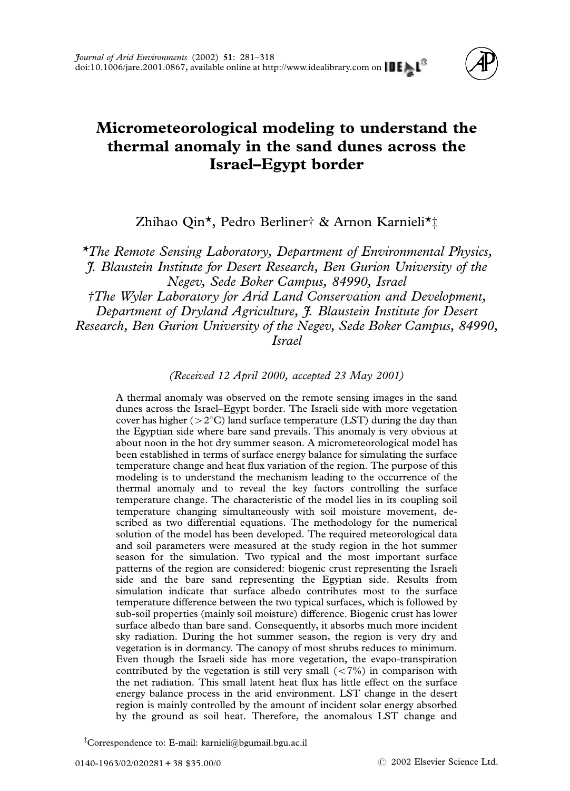

# **Micrometeorological modeling to understand the thermal anomaly in the sand dunes across the Israel–Egypt border**

Zhihao Qin\*, Pedro Berliner† & Arnon Karnieli\* $\ddagger$ 

*\*The Remote Sensing Laboratory, Department of Environmental Physics, J. Blaustein Institute for Desert Research, Ben Gurion University of the Negev, Sede Boker Campus, 84990, Israel* w*The Wyler Laboratory for Arid Land Conservation and Development, Department of Dryland Agriculture, J. Blaustein Institute for Desert Research, Ben Gurion University of the Negev, Sede Boker Campus, 84990, Israel*

*(Received 12 April 2000, accepted 23 May 2001)*

A thermal anomaly was observed on the remote sensing images in the sand dunes across the Israel–Egypt border. The Israeli side with more vegetation cover has higher ( $>2^{\circ}$ C) land surface temperature (LST) during the day than the Egyptian side where bare sand prevails. This anomaly is very obvious at about noon in the hot dry summer season. A micrometeorological model has been established in terms of surface energy balance for simulating the surface temperature change and heat flux variation of the region. The purpose of this modeling is to understand the mechanism leading to the occurrence of the thermal anomaly and to reveal the key factors controlling the surface temperature change. The characteristic of the model lies in its coupling soil temperature changing simultaneously with soil moisture movement, described as two differential equations. The methodology for the numerical solution of the model has been developed. The required meteorological data and soil parameters were measured at the study region in the hot summer season for the simulation. Two typical and the most important surface patterns of the region are considered: biogenic crust representing the Israeli side and the bare sand representing the Egyptian side. Results from simulation indicate that surface albedo contributes most to the surface temperature difference between the two typical surfaces, which is followed by sub-soil properties (mainly soil moisture) difference. Biogenic crust has lower surface albedo than bare sand. Consequently, it absorbs much more incident sky radiation. During the hot summer season, the region is very dry and vegetation is in dormancy. The canopy of most shrubs reduces to minimum. Even though the Israeli side has more vegetation, the evapo-transpiration contributed by the vegetation is still very small  $\left\langle \langle 7\% \rangle \right\rangle$  in comparison with the net radiation. This small latent heat flux has little effect on the surface energy balance process in the arid environment. LST change in the desert region is mainly controlled by the amount of incident solar energy absorbed by the ground as soil heat. Therefore, the anomalous LST change and

<sup>‡</sup>Correspondence to: E-mail: karnieli@bgumail.bgu.ac.il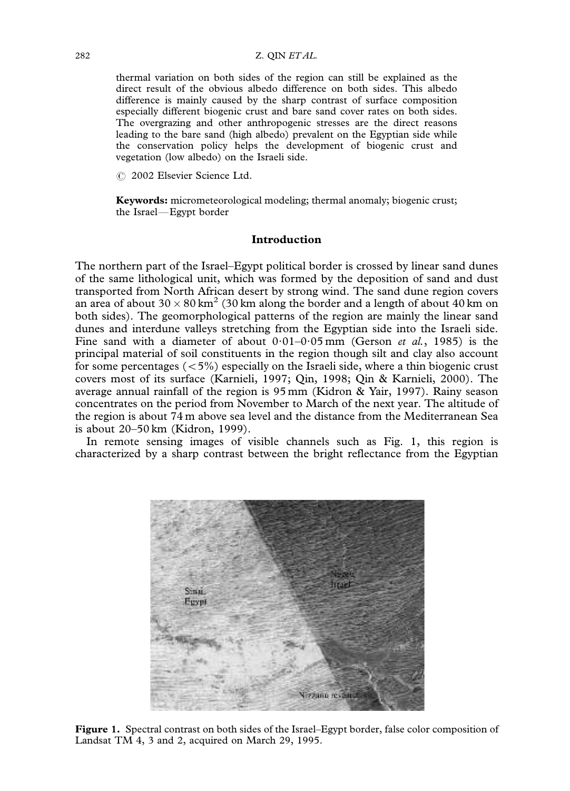#### 282 Z. QIN *ET AL.*

thermal variation on both sides of the region can still be explained as the direct result of the obvious albedo difference on both sides. This albedo difference is mainly caused by the sharp contrast of surface composition especially different biogenic crust and bare sand cover rates on both sides. The overgrazing and other anthropogenic stresses are the direct reasons leading to the bare sand (high albedo) prevalent on the Egyptian side while the conservation policy helps the development of biogenic crust and vegetation (low albedo) on the Israeli side.

 $\circ$  2002 Elsevier Science Ltd.

**Keywords:** micrometeorological modeling; thermal anomaly; biogenic crust; the Israel-Egypt border

## **Introduction**

The northern part of the Israel–Egypt political border is crossed by linear sand dunes of the same lithological unit, which was formed by the deposition of sand and dust transported from North African desert by strong wind. The sand dune region covers an area of about  $30 \times 80$  km<sup>2</sup> (30 km along the border and a length of about 40 km on both sides). The geomorphological patterns of the region are mainly the linear sand dunes and interdune valleys stretching from the Egyptian side into the Israeli side. Fine sand with a diameter of about  $0.01-0.05$  mm (Gerson *et al.*, 1985) is the principal material of soil constituents in the region though silt and clay also account for some percentages  $(<5\%)$  especially on the Israeli side, where a thin biogenic crust covers most of its surface (Karnieli, 1997; Qin, 1998; Qin & Karnieli, 2000). The average annual rainfall of the region is 95 mm (Kidron & Yair, 1997). Rainy season concentrates on the period from November to March of the next year. The altitude of the region is about 74 m above sea level and the distance from the Mediterranean Sea is about 20–50 km (Kidron, 1999).

In remote sensing images of visible channels such as Fig. 1, this region is characterized by a sharp contrast between the bright reflectance from the Egyptian



**Figure 1.** Spectral contrast on both sides of the Israel–Egypt border, false color composition of Landsat TM 4, 3 and 2, acquired on March 29, 1995.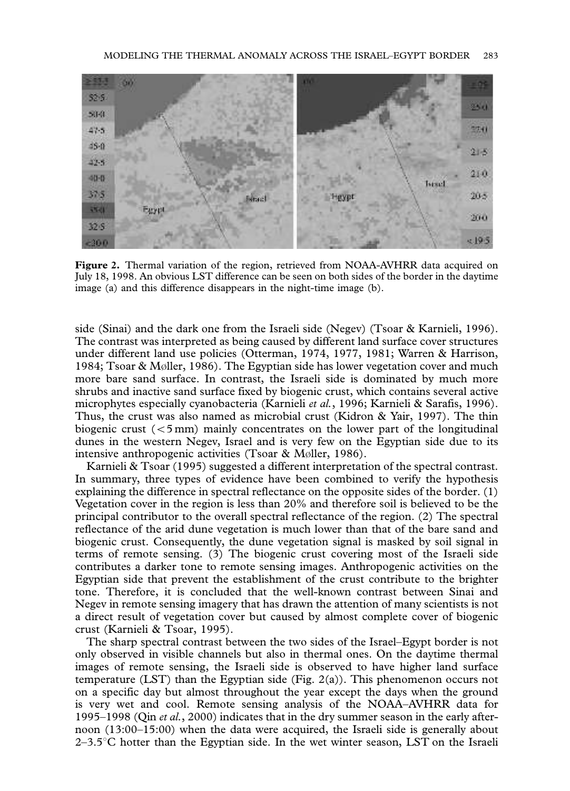

**Figure 2.** Thermal variation of the region, retrieved from NOAA-AVHRR data acquired on July 18, 1998. An obvious LST difference can be seen on both sides of the border in the daytime image (a) and this difference disappears in the night-time image (b).

side (Sinai) and the dark one from the Israeli side (Negev) (Tsoar & Karnieli, 1996). The contrast was interpreted as being caused by different land surface cover structures under different land use policies (Otterman, 1974, 1977, 1981; Warren & Harrison, 1984; Tsoar & Møller, 1986). The Egyptian side has lower vegetation cover and much more bare sand surface. In contrast, the Israeli side is dominated by much more shrubs and inactive sand surface fixed by biogenic crust, which contains several active microphytes especially cyanobacteria (Karnieli *et al.*, 1996; Karnieli & Sarafis, 1996). Thus, the crust was also named as microbial crust (Kidron & Yair, 1997). The thin biogenic crust  $(<5$  mm) mainly concentrates on the lower part of the longitudinal dunes in the western Negev, Israel and is very few on the Egyptian side due to its intensive anthropogenic activities (Tsoar & Møller, 1986).

Karnieli & Tsoar (1995) suggested a different interpretation of the spectral contrast. In summary, three types of evidence have been combined to verify the hypothesis explaining the difference in spectral reflectance on the opposite sides of the border. (1) Vegetation cover in the region is less than 20% and therefore soil is believed to be the principal contributor to the overall spectral reflectance of the region. (2) The spectral reflectance of the arid dune vegetation is much lower than that of the bare sand and biogenic crust. Consequently, the dune vegetation signal is masked by soil signal in terms of remote sensing. (3) The biogenic crust covering most of the Israeli side contributes a darker tone to remote sensing images. Anthropogenic activities on the Egyptian side that prevent the establishment of the crust contribute to the brighter tone. Therefore, it is concluded that the well-known contrast between Sinai and Negev in remote sensing imagery that has drawn the attention of many scientists is not a direct result of vegetation cover but caused by almost complete cover of biogenic crust (Karnieli & Tsoar, 1995).

The sharp spectral contrast between the two sides of the Israel–Egypt border is not only observed in visible channels but also in thermal ones. On the daytime thermal images of remote sensing, the Israeli side is observed to have higher land surface temperature (LST) than the Egyptian side (Fig. 2(a)). This phenomenon occurs not on a specific day but almost throughout the year except the days when the ground is very wet and cool. Remote sensing analysis of the NOAA–AVHRR data for 1995–1998 (Qin *et al.*, 2000) indicates that in the dry summer season in the early afternoon (13:00–15:00) when the data were acquired, the Israeli side is generally about  $2-3.5$ °C hotter than the Egyptian side. In the wet winter season, LST on the Israeli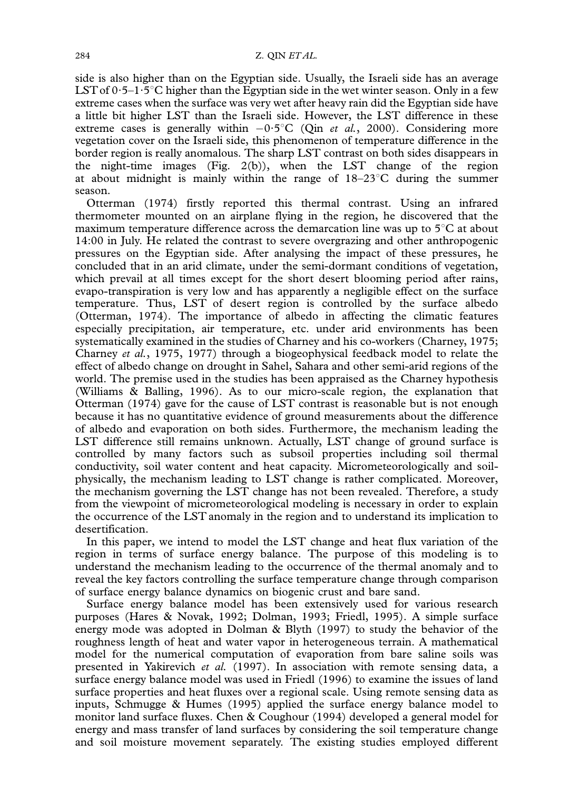side is also higher than on the Egyptian side. Usually, the Israeli side has an average LST of  $0.5-1.5^{\circ}$ C higher than the Egyptian side in the wet winter season. Only in a few extreme cases when the surface was very wet after heavy rain did the Egyptian side have a little bit higher LST than the Israeli side. However, the LST difference in these extreme cases is generally within  $-0.5^{\circ}C$  (Qin *et al.*, 2000). Considering more vegetation cover on the Israeli side, this phenomenon of temperature difference in the border region is really anomalous. The sharp LST contrast on both sides disappears in the night-time images (Fig. 2(b)), when the LST change of the region at about midnight is mainly within the range of  $18-23^{\circ}$ C during the summer season.

Otterman (1974) firstly reported this thermal contrast. Using an infrared thermometer mounted on an airplane flying in the region, he discovered that the maximum temperature difference across the demarcation line was up to  $5^{\circ}$ C at about 14:00 in July. He related the contrast to severe overgrazing and other anthropogenic pressures on the Egyptian side. After analysing the impact of these pressures, he concluded that in an arid climate, under the semi-dormant conditions of vegetation, which prevail at all times except for the short desert blooming period after rains, evapo-transpiration is very low and has apparently a negligible effect on the surface temperature. Thus, LST of desert region is controlled by the surface albedo (Otterman, 1974). The importance of albedo in affecting the climatic features especially precipitation, air temperature, etc. under arid environments has been systematically examined in the studies of Charney and his co-workers (Charney, 1975; Charney *et al.*, 1975, 1977) through a biogeophysical feedback model to relate the effect of albedo change on drought in Sahel, Sahara and other semi-arid regions of the world. The premise used in the studies has been appraised as the Charney hypothesis (Williams & Balling, 1996). As to our micro-scale region, the explanation that Otterman (1974) gave for the cause of LST contrast is reasonable but is not enough because it has no quantitative evidence of ground measurements about the difference of albedo and evaporation on both sides. Furthermore, the mechanism leading the LST difference still remains unknown. Actually, LST change of ground surface is controlled by many factors such as subsoil properties including soil thermal conductivity, soil water content and heat capacity. Micrometeorologically and soilphysically, the mechanism leading to LST change is rather complicated. Moreover, the mechanism governing the LST change has not been revealed. Therefore, a study from the viewpoint of micrometeorological modeling is necessary in order to explain the occurrence of the LST anomaly in the region and to understand its implication to desertification.

In this paper, we intend to model the LST change and heat flux variation of the region in terms of surface energy balance. The purpose of this modeling is to understand the mechanism leading to the occurrence of the thermal anomaly and to reveal the key factors controlling the surface temperature change through comparison of surface energy balance dynamics on biogenic crust and bare sand.

Surface energy balance model has been extensively used for various research purposes (Hares & Novak, 1992; Dolman, 1993; Friedl, 1995). A simple surface energy mode was adopted in Dolman & Blyth (1997) to study the behavior of the roughness length of heat and water vapor in heterogeneous terrain. A mathematical model for the numerical computation of evaporation from bare saline soils was presented in Yakirevich *et al.* (1997). In association with remote sensing data, a surface energy balance model was used in Friedl (1996) to examine the issues of land surface properties and heat fluxes over a regional scale. Using remote sensing data as inputs, Schmugge & Humes (1995) applied the surface energy balance model to monitor land surface fluxes. Chen & Coughour (1994) developed a general model for energy and mass transfer of land surfaces by considering the soil temperature change and soil moisture movement separately. The existing studies employed different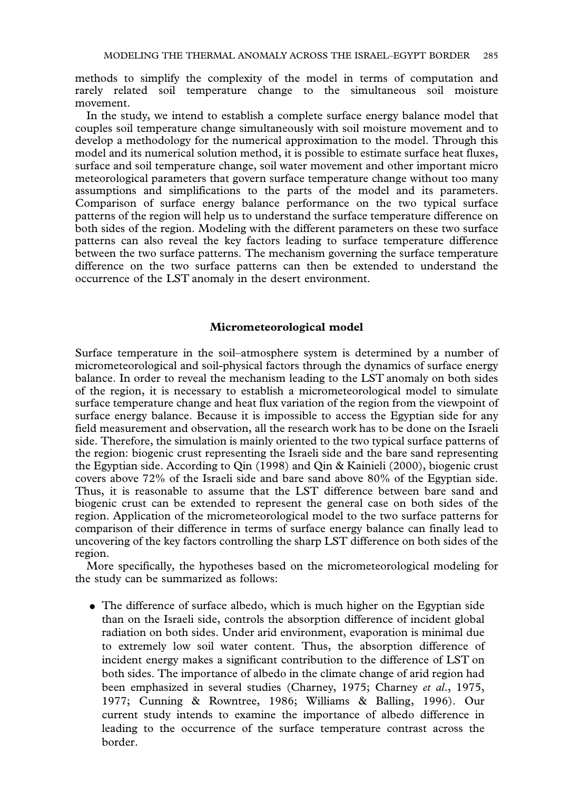methods to simplify the complexity of the model in terms of computation and rarely related soil temperature change to the simultaneous soil moisture movement.

In the study, we intend to establish a complete surface energy balance model that couples soil temperature change simultaneously with soil moisture movement and to develop a methodology for the numerical approximation to the model. Through this model and its numerical solution method, it is possible to estimate surface heat fluxes, surface and soil temperature change, soil water movement and other important micro meteorological parameters that govern surface temperature change without too many assumptions and simplifications to the parts of the model and its parameters. Comparison of surface energy balance performance on the two typical surface patterns of the region will help us to understand the surface temperature difference on both sides of the region. Modeling with the different parameters on these two surface patterns can also reveal the key factors leading to surface temperature difference between the two surface patterns. The mechanism governing the surface temperature difference on the two surface patterns can then be extended to understand the occurrence of the LST anomaly in the desert environment.

## **Micrometeorological model**

Surface temperature in the soil–atmosphere system is determined by a number of micrometeorological and soil-physical factors through the dynamics of surface energy balance. In order to reveal the mechanism leading to the LST anomaly on both sides of the region, it is necessary to establish a micrometeorological model to simulate surface temperature change and heat flux variation of the region from the viewpoint of surface energy balance. Because it is impossible to access the Egyptian side for any field measurement and observation, all the research work has to be done on the Israeli side. Therefore, the simulation is mainly oriented to the two typical surface patterns of the region: biogenic crust representing the Israeli side and the bare sand representing the Egyptian side. According to Qin (1998) and Qin & Kainieli (2000), biogenic crust covers above 72% of the Israeli side and bare sand above 80% of the Egyptian side. Thus, it is reasonable to assume that the LST difference between bare sand and biogenic crust can be extended to represent the general case on both sides of the region. Application of the micrometeorological model to the two surface patterns for comparison of their difference in terms of surface energy balance can finally lead to uncovering of the key factors controlling the sharp LST difference on both sides of the region.

More specifically, the hypotheses based on the micrometeorological modeling for the study can be summarized as follows:

• The difference of surface albedo, which is much higher on the Egyptian side than on the Israeli side, controls the absorption difference of incident global radiation on both sides. Under arid environment, evaporation is minimal due to extremely low soil water content. Thus, the absorption difference of incident energy makes a significant contribution to the difference of LST on both sides. The importance of albedo in the climate change of arid region had been emphasized in several studies (Charney, 1975; Charney *et al*., 1975, 1977; Cunning & Rowntree, 1986; Williams & Balling, 1996). Our current study intends to examine the importance of albedo difference in leading to the occurrence of the surface temperature contrast across the border.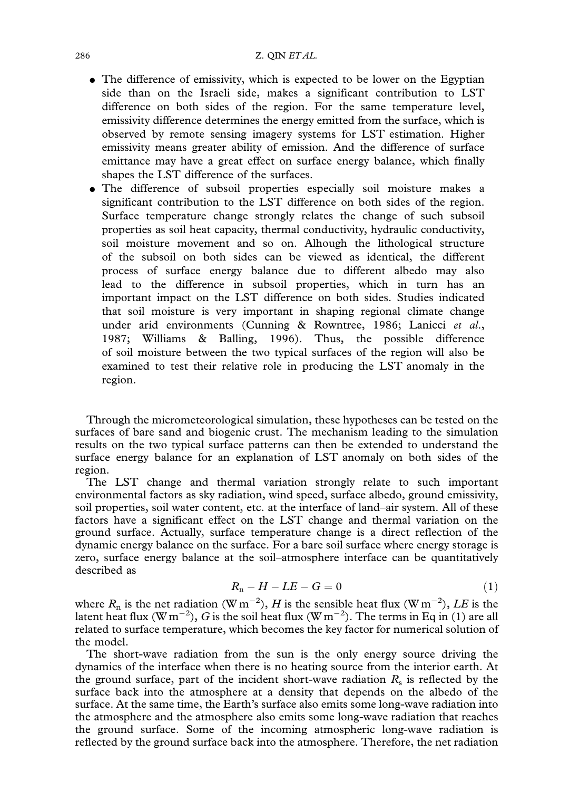## 286 Z. QIN *ET AL.*

- The difference of emissivity, which is expected to be lower on the Egyptian side than on the Israeli side, makes a significant contribution to LST difference on both sides of the region. For the same temperature level, emissivity difference determines the energy emitted from the surface, which is observed by remote sensing imagery systems for LST estimation. Higher emissivity means greater ability of emission. And the difference of surface emittance may have a great effect on surface energy balance, which finally shapes the LST difference of the surfaces.
- The difference of subsoil properties especially soil moisture makes a significant contribution to the LST difference on both sides of the region. Surface temperature change strongly relates the change of such subsoil properties as soil heat capacity, thermal conductivity, hydraulic conductivity, soil moisture movement and so on. Alhough the lithological structure of the subsoil on both sides can be viewed as identical, the different process of surface energy balance due to different albedo may also lead to the difference in subsoil properties, which in turn has an important impact on the LST difference on both sides. Studies indicated that soil moisture is very important in shaping regional climate change under arid environments (Cunning & Rowntree, 1986; Lanicci *et al*., 1987; Williams & Balling, 1996). Thus, the possible difference of soil moisture between the two typical surfaces of the region will also be examined to test their relative role in producing the LST anomaly in the region.

Through the micrometeorological simulation, these hypotheses can be tested on the surfaces of bare sand and biogenic crust. The mechanism leading to the simulation results on the two typical surface patterns can then be extended to understand the surface energy balance for an explanation of LST anomaly on both sides of the region.

The LST change and thermal variation strongly relate to such important environmental factors as sky radiation, wind speed, surface albedo, ground emissivity, soil properties, soil water content, etc. at the interface of land–air system. All of these factors have a significant effect on the LST change and thermal variation on the ground surface. Actually, surface temperature change is a direct reflection of the dynamic energy balance on the surface. For a bare soil surface where energy storage is zero, surface energy balance at the soil–atmosphere interface can be quantitatively described as

$$
R_{n}-H-LE-G=0 \qquad (1)
$$

where  $R_n$  is the net radiation (W m<sup>-2</sup>), *H* is the sensible heat flux (W m<sup>-2</sup>), *LE* is the latent heat flux (W m<sup>-2</sup>), *G* is the soil heat flux (W m<sup>-2</sup>). The terms in Eq in (1) are all related to surface temperature, which becomes the key factor for numerical solution of the model.

The short-wave radiation from the sun is the only energy source driving the dynamics of the interface when there is no heating source from the interior earth. At the ground surface, part of the incident short-wave radiation  $R_s$  is reflected by the surface back into the atmosphere at a density that depends on the albedo of the surface. At the same time, the Earth's surface also emits some long-wave radiation into the atmosphere and the atmosphere also emits some long-wave radiation that reaches the ground surface. Some of the incoming atmospheric long-wave radiation is reflected by the ground surface back into the atmosphere. Therefore, the net radiation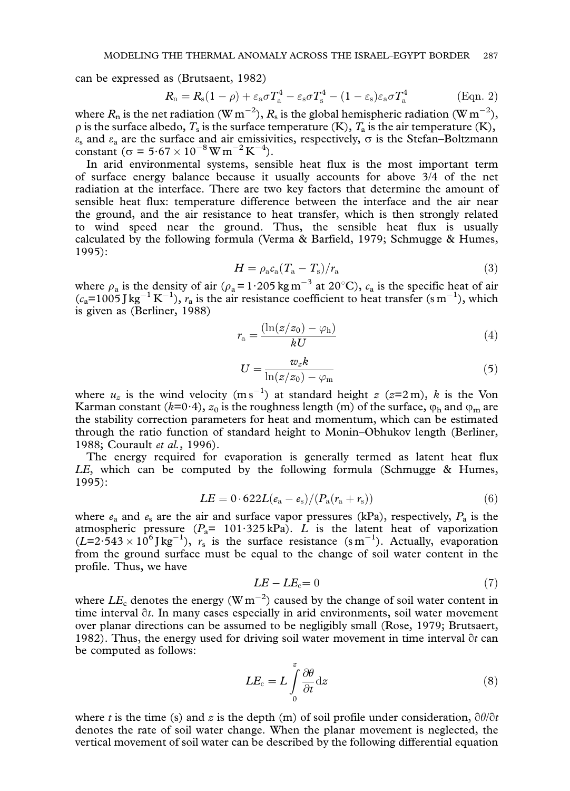can be expressed as (Brutsaent, 1982)

$$
R_{\rm n} = R_{\rm s}(1-\rho) + \varepsilon_{\rm a}\sigma T_{\rm a}^4 - \varepsilon_{\rm s}\sigma T_{\rm s}^4 - (1-\varepsilon_{\rm s})\varepsilon_{\rm a}\sigma T_{\rm a}^4 \qquad\qquad \text{(Eqn. 2)}
$$

where  $R_{\rm n}$  is the net radiation (W m $^{-2}$ ),  $R_{\rm s}$  is the global hemispheric radiation (W m $^{-2}$ ),  $\rho$  is the surface albedo,  $T_{\rm s}$  is the surface temperature (K),  $T_{\rm a}$  is the air temperature (K),  $\varepsilon_s$  and  $\varepsilon_a$  are the surface and air emissivities, respectively,  $\sigma$  is the Stefan–Boltzmann constant ( $\sigma = 5.67 \times 10^{-8}$  W m<sup>-2</sup> K<sup>-4</sup>).

In arid environmental systems, sensible heat flux is the most important term of surface energy balance because it usually accounts for above 3/4 of the net radiation at the interface. There are two key factors that determine the amount of sensible heat flux: temperature difference between the interface and the air near the ground, and the air resistance to heat transfer, which is then strongly related to wind speed near the ground. Thus, the sensible heat flux is usually calculated by the following formula (Verma & Barfield, 1979; Schmugge & Humes, 1995):

$$
H = \rho_a c_a (T_a - T_s) / r_a \tag{3}
$$

where  $\rho_a$  is the density of air ( $\rho_a = 1.205 \text{ kg m}^{-3}$  at 20°C),  $c_a$  is the specific heat of air  $(c_a=100\bar{5}$  J kg<sup>-1</sup> K<sup>-1</sup>),  $r_a$  is the air resistance coefficient to heat transfer (s m<sup>-1</sup>), which is given as (Berliner, 1988)

$$
r_{\rm a} = \frac{(\ln(z/z_0) - \varphi_{\rm h})}{kU} \tag{4}
$$

$$
U = \frac{w_z k}{\ln(z/z_0) - \varphi_m} \tag{5}
$$

where  $u_z$  is the wind velocity  $(m s^{-1})$  at standard height  $z$  ( $z=2 m$ ),  $k$  is the Von Karman constant ( $k=0.4$ ),  $z_0$  is the roughness length (m) of the surface,  $\varphi_h$  and  $\varphi_m$  are the stability correction parameters for heat and momentum, which can be estimated through the ratio function of standard height to Monin–Obhukov length (Berliner, 1988; Courault *et al.*, 1996).

The energy required for evaporation is generally termed as latent heat flux *LE*, which can be computed by the following formula (Schmugge & Humes, 1995):

$$
LE = 0.622L(ea - es)/(Pa(ra + rs))
$$
\n(6)

where  $e_a$  and  $e_s$  are the air and surface vapor pressures (kPa), respectively,  $P_a$  is the atmospheric pressure  $(P_a = 101.325 \text{ kPa})$ . *L* is the latent heat of vaporization  $(L=2.543\times10^{6}$  J kg<sup>-1</sup>),  $r_s$  is the surface resistance (s m<sup>-1</sup>). Actually, evaporation from the ground surface must be equal to the change of soil water content in the profile. Thus, we have

$$
LE - LEc = 0 \tag{7}
$$

where  $LE_{\rm c}$  denotes the energy ( ${\rm W\,m}^{-2})$  caused by the change of soil water content in time interval  $\partial t$ . In many cases especially in arid environments, soil water movement over planar directions can be assumed to be negligibly small (Rose, 1979; Brutsaert, 1982). Thus, the energy used for driving soil water movement in time interval  $\partial t$  can be computed as follows:

$$
LE_{c} = L \int_{0}^{z} \frac{\partial \theta}{\partial t} dz
$$
 (8)

where *t* is the time (s) and *z* is the depth (m) of soil profile under consideration,  $\partial \theta / \partial t$ denotes the rate of soil water change. When the planar movement is neglected, the vertical movement of soil water can be described by the following differential equation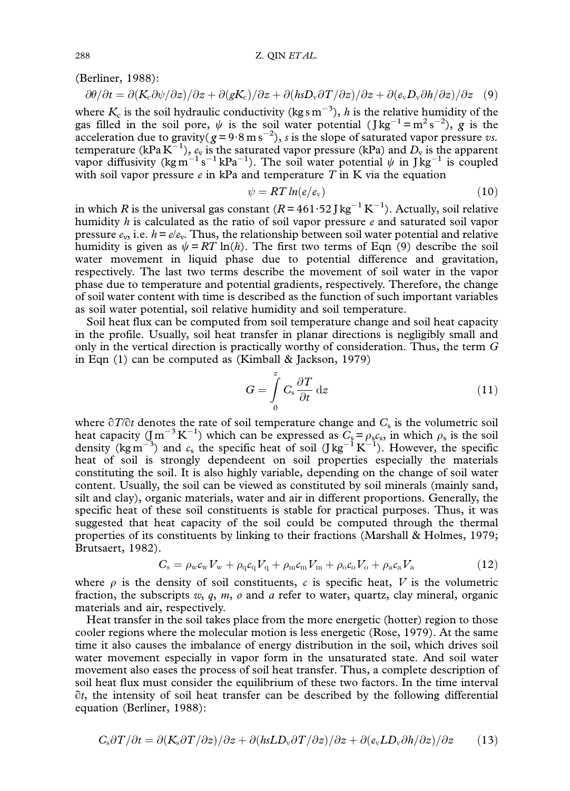(Berliner, 1988):

$$
\frac{\partial \theta}{\partial t} = \frac{\partial (K_c \partial \psi / \partial z)}{\partial z} + \frac{\partial (gK_c)}{\partial z} + \frac{\partial (h s D_v \partial T / \partial z)}{\partial z} + \frac{\partial (e_v D_v \partial h / \partial z)}{\partial z} \tag{9}
$$

where  $K_{\rm c}$  is the soil hydraulic conductivity (kg s m<sup>-3</sup>), *h* is the relative humidity of the gas filled in the soil pore,  $\psi$  is the soil water potential (J kg<sup>-1</sup> = m<sup>2</sup> s<sup>-2</sup>), g is the acceleration due to gravity( $g = 9.8 \text{ m s}^{-2}$ ), *s* is the slope of saturated vapor pressure *vs*. temperature (kPa K<sup>-1</sup>),  $e_v$  is the saturated vapor pressure (kPa) and  $D_v$  is the apparent vapor diffusivity (kg m<sup>-1</sup>s<sup>-1</sup> kPa<sup>-1</sup>). The soil water potential  $\psi$  in J kg<sup>-1</sup> is coupled with soil vapor pressure *e* in kPa and temperature *T* in K via the equation

$$
\psi = RT \ln(e/e_v) \tag{10}
$$

in which *R* is the universal gas constant  $(R = 461.52 \text{ J kg}^{-1} \text{ K}^{-1})$ . Actually, soil relative humidity *h* is calculated as the ratio of soil vapor pressure *e* and saturated soil vapor pressure  $e_v$ , i.e.  $h = e/e_v$ . Thus, the relationship between soil water potential and relative humidity is given as  $\psi = RT \ln(h)$ . The first two terms of Eqn (9) describe the soil water movement in liquid phase due to potential difference and gravitation, respectively. The last two terms describe the movement of soil water in the vapor phase due to temperature and potential gradients, respectively. Therefore, the change of soil water content with time is described as the function of such important variables as soil water potential, soil relative humidity and soil temperature.

Soil heat flux can be computed from soil temperature change and soil heat capacity in the profile. Usually, soil heat transfer in planar directions is negligibly small and only in the vertical direction is practically worthy of consideration. Thus, the term *G* in Eqn (1) can be computed as (Kimball & Jackson, 1979)

$$
G = \int_{0}^{z} C_{\rm s} \frac{\partial T}{\partial t} \,\mathrm{d}z \tag{11}
$$

where  $\partial T/\partial t$  denotes the rate of soil temperature change and  $C_s$  is the volumetric soil heat capacity  $(\text{Im}^{-3} \text{K}^{-1})$  which can be expressed as  $C_s = \rho_s c_s$ , in which  $\rho_s$  is the soil density (kg m<sup>-3</sup>) and  $c_s$  the specific heat of soil (J kg<sup>-1</sup> K<sup>-1</sup>). However, the specific heat of soil is strongly dependeent on soil properties especially the materials constituting the soil. It is also highly variable, depending on the change of soil water content. Usually, the soil can be viewed as constituted by soil minerals (mainly sand, silt and clay), organic materials, water and air in different proportions. Generally, the specific heat of these soil constituents is stable for practical purposes. Thus, it was suggested that heat capacity of the soil could be computed through the thermal properties of its constituents by linking to their fractions (Marshall & Holmes, 1979; Brutsaert, 1982).

$$
C_{\rm s} = \rho_{\rm w} c_{\rm w} V_{\rm w} + \rho_{\rm q} c_{\rm q} V_{\rm q} + \rho_{\rm m} c_{\rm m} V_{\rm m} + \rho_{\rm o} c_{\rm o} V_{\rm o} + \rho_{\rm a} c_{\rm a} V_{\rm a} \tag{12}
$$

where  $\rho$  is the density of soil constituents,  $c$  is specific heat,  $V$  is the volumetric fraction, the subscripts *w*, *q*, *m*, *o* and *a* refer to water, quartz, clay mineral, organic materials and air, respectively.

Heat transfer in the soil takes place from the more energetic (hotter) region to those cooler regions where the molecular motion is less energetic (Rose, 1979). At the same time it also causes the imbalance of energy distribution in the soil, which drives soil water movement especially in vapor form in the unsaturated state. And soil water movement also eases the process of soil heat transfer. Thus, a complete description of soil heat flux must consider the equilibrium of these two factors. In the time interval  $\partial t$ , the intensity of soil heat transfer can be described by the following differential equation (Berliner, 1988):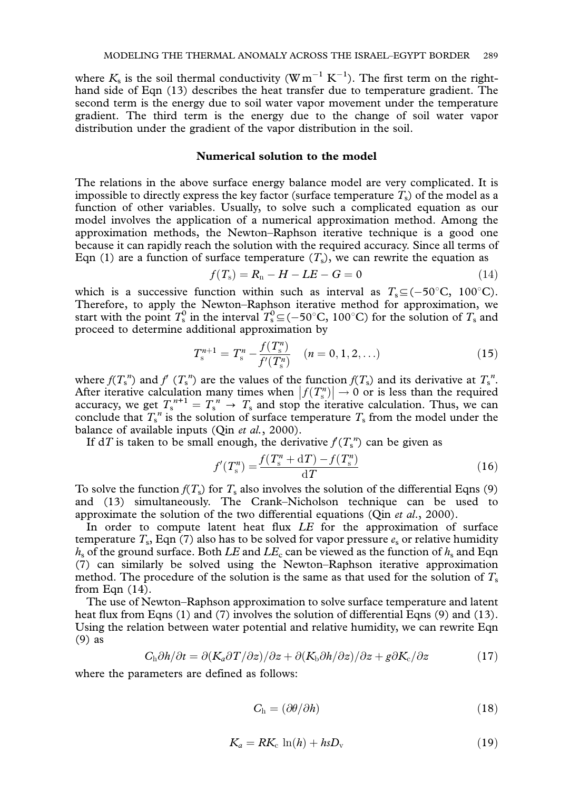where  $K_s$  is the soil thermal conductivity ( $W \, \text{m}^{-1} \, \text{K}^{-1}$ ). The first term on the righthand side of Eqn (13) describes the heat transfer due to temperature gradient. The second term is the energy due to soil water vapor movement under the temperature gradient. The third term is the energy due to the change of soil water vapor distribution under the gradient of the vapor distribution in the soil.

### **Numerical solution to the model**

The relations in the above surface energy balance model are very complicated. It is impossible to directly express the key factor (surface temperature  $T<sub>s</sub>$ ) of the model as a function of other variables. Usually, to solve such a complicated equation as our model involves the application of a numerical approximation method. Among the approximation methods, the Newton–Raphson iterative technique is a good one because it can rapidly reach the solution with the required accuracy. Since all terms of Eqn (1) are a function of surface temperature  $(T<sub>s</sub>)$ , we can rewrite the equation as

$$
f(T_{\rm s}) = R_{\rm n} - H - LE - G = 0 \tag{14}
$$

which is a successive function within such as interval as  $T_s \subseteq (-50^{\circ} \text{C}, 100^{\circ} \text{C}).$ Therefore, to apply the Newton–Raphson iterative method for approximation, we start with the point  $T_s^0$  in the interval  $T_s^0 \subseteq (-50^{\circ} \text{C}, 100^{\circ} \text{C})$  for the solution of  $T_s$  and proceed to determine additional approximation by

$$
T_s^{n+1} = T_s^n - \frac{f(T_s^n)}{f'(T_s^n)} \quad (n = 0, 1, 2, ...)
$$
 (15)

where  $f(T_s^n)$  and  $f'(T_s^n)$  are the values of the function  $f(T_s)$  and its derivative at  $T_s^n$ . After iterative calculation many times when  $|f(T_s^n)| \to 0$  or is less than the required First relative calculation many times when  $|f(T_s)| \to 0$  or is less than the required accuracy, we get  $T_s^{n+1} = T_s^n \to T_s$  and stop the iterative calculation. Thus, we can conclude that  $T_s^n$  is the solution of surface temperature  $T_s$  from the model under the balance of available inputs (Qin *et al.*, 2000).

If  $dT$  is taken to be small enough, the derivative  $f(T_s^n)$  can be given as

$$
f'(T_s^n) = \frac{f(T_s^n + dT) - f(T_s^n)}{dT}
$$
\n(16)

To solve the function  $f(T_s)$  for  $T_s$  also involves the solution of the differential Eqns (9) and (13) simultaneously. The Crank–Nicholson technique can be used to approximate the solution of the two differential equations (Qin *et al*., 2000).

In order to compute latent heat flux *LE* for the approximation of surface temperature  $T_{\rm s}$ , Eqn (7) also has to be solved for vapor pressure  $e_{\rm s}$  or relative humidity  $h_s$  of the ground surface. Both *LE* and *LE*<sub>c</sub> can be viewed as the function of  $h_s$  and Eqn (7) can similarly be solved using the Newton–Raphson iterative approximation method. The procedure of the solution is the same as that used for the solution of  $T_s$ from Eqn (14).

The use of Newton–Raphson approximation to solve surface temperature and latent heat flux from Eqns (1) and (7) involves the solution of differential Eqns (9) and (13). Using the relation between water potential and relative humidity, we can rewrite Eqn (9) as

$$
C_{\rm h}\partial h/\partial t = \partial (K_a \partial T/\partial z)/\partial z + \partial (K_{\rm b}\partial h/\partial z)/\partial z + g\partial K_{\rm c}/\partial z \tag{17}
$$

where the parameters are defined as follows:

$$
C_{\rm h} = \left(\partial \theta / \partial h\right) \tag{18}
$$

$$
K_a = RK_c \, \ln(h) + h s D_v \tag{19}
$$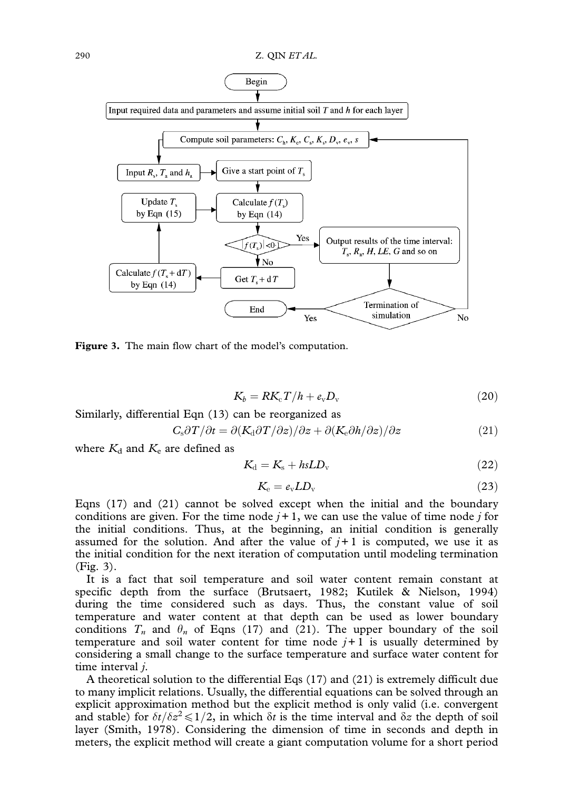

**Figure 3.** The main flow chart of the model's computation.

$$
K_b = RK_cT/h + e_vD_v \tag{20}
$$

Similarly, differential Eqn (13) can be reorganized as

$$
C_{\rm s}\partial T/\partial t = \partial (K_{\rm d}\partial T/\partial z)/\partial z + \partial (K_{\rm e}\partial h/\partial z)/\partial z \tag{21}
$$

where  $K_d$  and  $K_e$  are defined as

$$
K_{\rm d}=K_{\rm s}+h s L D_{\rm v} \tag{22}
$$

$$
K_{\rm e} = e_{\rm v} L D_{\rm v} \tag{23}
$$

Eqns (17) and (21) cannot be solved except when the initial and the boundary conditions are given. For the time node  $j + 1$ , we can use the value of time node  $j$  for the initial conditions. Thus, at the beginning, an initial condition is generally assumed for the solution. And after the value of  $j+1$  is computed, we use it as the initial condition for the next iteration of computation until modeling termination (Fig. 3).

It is a fact that soil temperature and soil water content remain constant at specific depth from the surface (Brutsaert, 1982; Kutilek & Nielson, 1994) during the time considered such as days. Thus, the constant value of soil temperature and water content at that depth can be used as lower boundary conditions  $T_n$  and  $\theta_n$  of Eqns (17) and (21). The upper boundary of the soil temperature and soil water content for time node  $j+1$  is usually determined by considering a small change to the surface temperature and surface water content for time interval *j*.

A theoretical solution to the differential Eqs (17) and (21) is extremely difficult due to many implicit relations. Usually, the differential equations can be solved through an explicit approximation method but the explicit method is only valid (i.e. convergent and stable) for  $\delta t / \delta z^2 \leq 1/2$ , in which  $\delta t$  is the time interval and  $\delta z$  the depth of soil layer (Smith, 1978). Considering the dimension of time in seconds and depth in meters, the explicit method will create a giant computation volume for a short period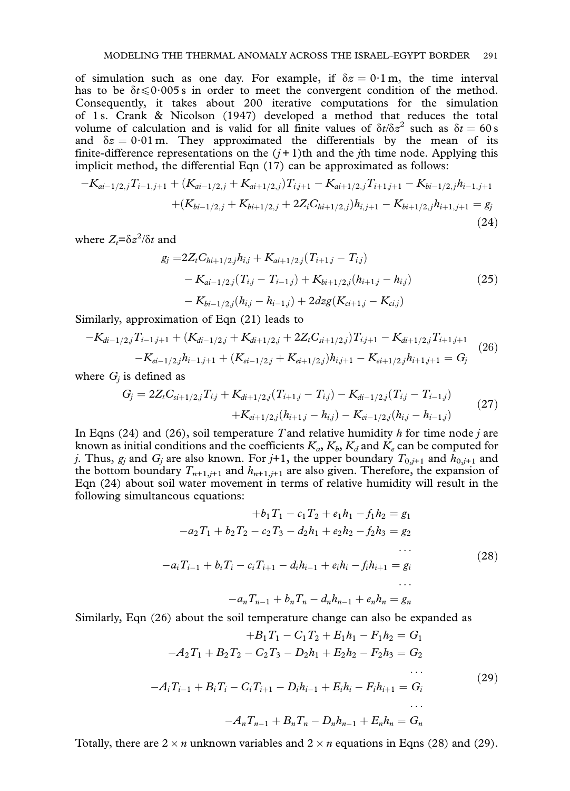of simulation such as one day. For example, if  $\delta z = 0.1$  m, the time interval has to be  $\delta t \leq 0.005$  s in order to meet the convergent condition of the method. Consequently, it takes about 200 iterative computations for the simulation of 1 s. Crank & Nicolson (1947) developed a method that reduces the total volume of calculation and is valid for all finite values of  $\delta t/\delta z^2$  such as  $\delta t = 60$  s and  $\delta z = 0.01 \text{ m}$ . They approximated the differentials by the mean of its finite-difference representations on the  $(j+1)$ th and the *j*th time node. Applying this implicit method, the differential Eqn (17) can be approximated as follows:

$$
-K_{ai-1/2,j}T_{i-1,j+1} + (K_{ai-1/2,j} + K_{ai+1/2,j})T_{i,j+1} - K_{ai+1/2,j}T_{i+1,j+1} - K_{bi-1/2,j}h_{i-1,j+1} + (K_{bi-1/2,j} + K_{bi+1/2,j} + 2Z_iC_{hi+1/2,j})h_{i,j+1} - K_{bi+1/2,j}h_{i+1,j+1} = g_j
$$
\n(24)

where  $Z_t = \delta z^2 / \delta t$  and

$$
g_j = 2Z_t C_{hi+1/2j} h_{i,j} + K_{ai+1/2j} (T_{i+1,j} - T_{i,j})
$$
  
-  $K_{ai-1/2,j} (T_{i,j} - T_{i-1,j}) + K_{bi+1/2,j} (h_{i+1,j} - h_{i,j})$  (25)  
-  $K_{bi-1/2,j} (h_{i,j} - h_{i-1,j}) + 2dzg(K_{ci+1,j} - K_{ci,j})$ 

Similarly, approximation of Eqn (21) leads to

$$
-K_{di-1/2,j}T_{i-1,j+1} + (K_{di-1/2,j} + K_{di+1/2,j} + 2Z_iC_{si+1/2,j})T_{i,j+1} - K_{di+1/2,j}T_{i+1,j+1}
$$
  

$$
-K_{ei-1/2,j}h_{i-1,j+1} + (K_{ei-1/2,j} + K_{ei+1/2,j})h_{i,j+1} - K_{ei+1/2,j}h_{i+1,j+1} = G_j
$$
 (26)

where  $G_j$  is defined as

$$
G_j = 2Z_t C_{si+1/2,j} T_{i,j} + K_{di+1/2,j} (T_{i+1,j} - T_{i,j}) - K_{di-1/2,j} (T_{i,j} - T_{i-1,j})
$$
  
+
$$
K_{ei+1/2,j} (h_{i+1,j} - h_{i,j}) - K_{ei-1/2,j} (h_{i,j} - h_{i-1,j})
$$
(27)

In Eqns (24) and (26), soil temperature *T* and relative humidity *h* for time node *j* are known as initial conditions and the coefficients  $K_a, K_b, K_d$  and  $K_e$  can be computed for *j*. Thus,  $g_i$  and  $G_i$  are also known. For *j*+1, the upper boundary  $T_{0,i+1}$  and  $h_{0,i+1}$  and the bottom boundary  $T_{n+1,j+1}$  and  $h_{n+1,j+1}$  are also given. Therefore, the expansion of Eqn (24) about soil water movement in terms of relative humidity will result in the following simultaneous equations:

$$
+b_1 T_1 - c_1 T_2 + e_1 h_1 - f_1 h_2 = g_1
$$
  

$$
-a_2 T_1 + b_2 T_2 - c_2 T_3 - d_2 h_1 + e_2 h_2 - f_2 h_3 = g_2
$$
  
...  

$$
-a_i T_{i-1} + b_i T_i - c_i T_{i+1} - d_i h_{i-1} + e_i h_i - f_i h_{i+1} = g_i
$$
  
...  

$$
-a_n T_{n-1} + b_n T_n - d_n h_{n-1} + e_n h_n = g_n
$$
  
(28)

Similarly, Eqn (26) about the soil temperature change can also be expanded as

$$
+B_1 T_1 - C_1 T_2 + E_1 h_1 - F_1 h_2 = G_1
$$
  

$$
-A_2 T_1 + B_2 T_2 - C_2 T_3 - D_2 h_1 + E_2 h_2 - F_2 h_3 = G_2
$$
  
...  

$$
-A_i T_{i-1} + B_i T_i - C_i T_{i+1} - D_i h_{i-1} + E_i h_i - F_i h_{i+1} = G_i
$$
  
...  

$$
-A_n T_{n-1} + B_n T_n - D_n h_{n-1} + E_n h_n = G_n
$$
  
(29)

Totally, there are  $2 \times n$  unknown variables and  $2 \times n$  equations in Eqns (28) and (29).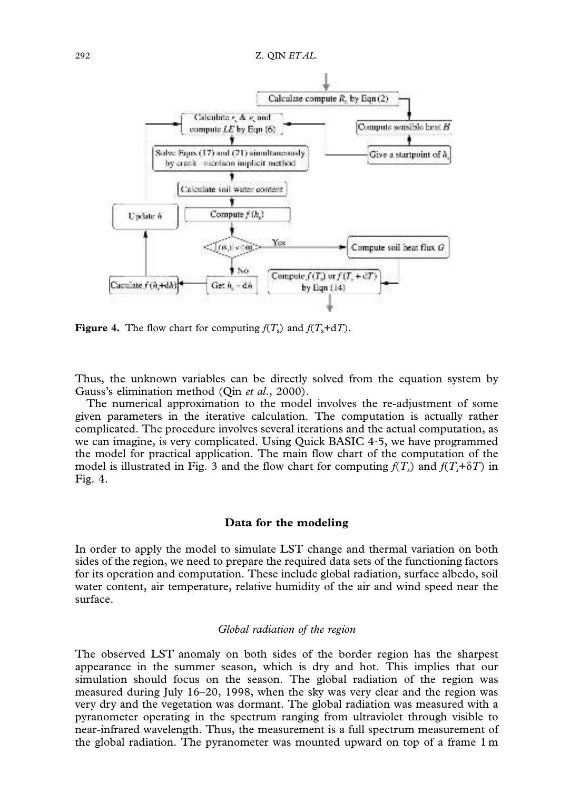

**Figure 4.** The flow chart for computing  $f(T_s)$  and  $f(T_s+dT)$ .

Thus, the unknown variables can be directly solved from the equation system by Gauss's elimination method (Qin *et al*., 2000).

The numerical approximation to the model involves the re-adjustment of some given parameters in the iterative calculation. The computation is actually rather complicated. The procedure involves several iterations and the actual computation, as we can imagine, is very complicated. Using Quick BASIC 4?5, we have programmed the model for practical application. The main flow chart of the computation of the model is illustrated in Fig. 3 and the flow chart for computing  $f(T_s)$  and  $f(T_s+\delta T)$  in Fig. 4.

## **Data for the modeling**

In order to apply the model to simulate LST change and thermal variation on both sides of the region, we need to prepare the required data sets of the functioning factors for its operation and computation. These include global radiation, surface albedo, soil water content, air temperature, relative humidity of the air and wind speed near the surface.

## *Global radiation of the region*

The observed LST anomaly on both sides of the border region has the sharpest appearance in the summer season, which is dry and hot. This implies that our simulation should focus on the season. The global radiation of the region was measured during July 16–20, 1998, when the sky was very clear and the region was very dry and the vegetation was dormant. The global radiation was measured with a pyranometer operating in the spectrum ranging from ultraviolet through visible to near-infrared wavelength. Thus, the measurement is a full spectrum measurement of the global radiation. The pyranometer was mounted upward on top of a frame 1 m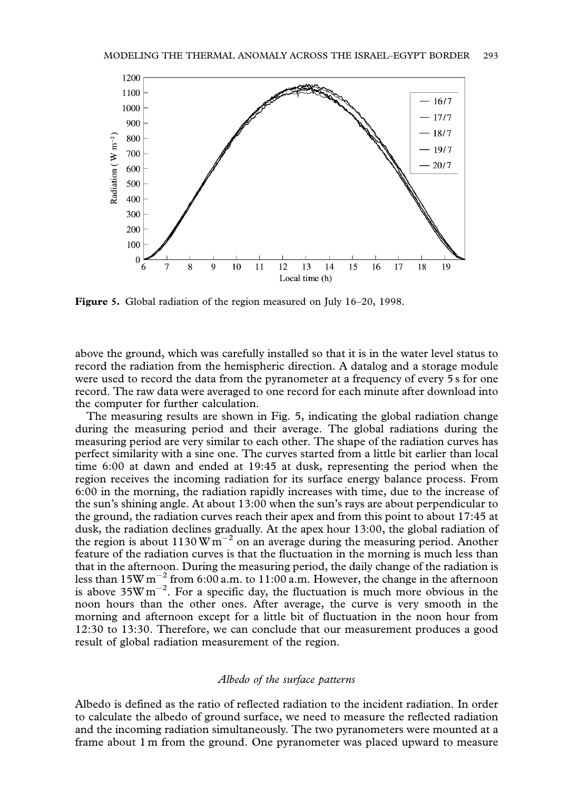

**Figure 5.** Global radiation of the region measured on July 16–20, 1998.

above the ground, which was carefully installed so that it is in the water level status to record the radiation from the hemispheric direction. A datalog and a storage module were used to record the data from the pyranometer at a frequency of every 5 s for one record. The raw data were averaged to one record for each minute after download into the computer for further calculation.

The measuring results are shown in Fig. 5, indicating the global radiation change during the measuring period and their average. The global radiations during the measuring period are very similar to each other. The shape of the radiation curves has perfect similarity with a sine one. The curves started from a little bit earlier than local time 6:00 at dawn and ended at 19:45 at dusk, representing the period when the region receives the incoming radiation for its surface energy balance process. From 6:00 in the morning, the radiation rapidly increases with time, due to the increase of the sun's shining angle. At about 13:00 when the sun's rays are about perpendicular to the ground, the radiation curves reach their apex and from this point to about 17:45 at dusk, the radiation declines gradually. At the apex hour 13:00, the global radiation of the region is about 1130 W  $\text{m}^{-2}$  on an average during the measuring period. Another feature of the radiation curves is that the fluctuation in the morning is much less than that in the afternoon. During the measuring period, the daily change of the radiation is less than  $15W \text{ m}^{-2}$  from  $6:00$  a.m. to  $11:00$  a.m. However, the change in the afternoon is above  $35W \text{ m}^{-2}$ . For a specific day, the fluctuation is much more obvious in the noon hours than the other ones. After average, the curve is very smooth in the morning and afternoon except for a little bit of fluctuation in the noon hour from 12:30 to 13:30. Therefore, we can conclude that our measurement produces a good result of global radiation measurement of the region.

#### *Albedo of the surface patterns*

Albedo is defined as the ratio of reflected radiation to the incident radiation. In order to calculate the albedo of ground surface, we need to measure the reflected radiation and the incoming radiation simultaneously. The two pyranometers were mounted at a frame about 1 m from the ground. One pyranometer was placed upward to measure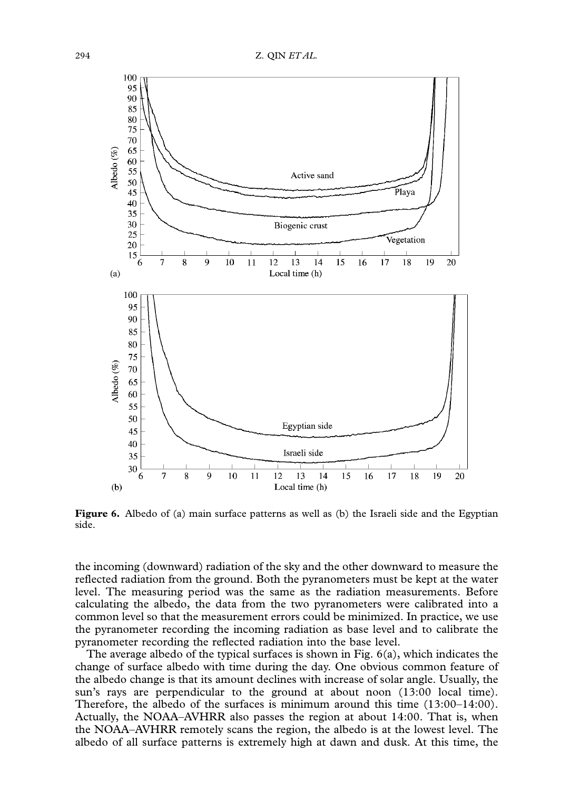

**Figure 6.** Albedo of (a) main surface patterns as well as (b) the Israeli side and the Egyptian side.

the incoming (downward) radiation of the sky and the other downward to measure the reflected radiation from the ground. Both the pyranometers must be kept at the water level. The measuring period was the same as the radiation measurements. Before calculating the albedo, the data from the two pyranometers were calibrated into a common level so that the measurement errors could be minimized. In practice, we use the pyranometer recording the incoming radiation as base level and to calibrate the pyranometer recording the reflected radiation into the base level.

The average albedo of the typical surfaces is shown in Fig. 6(a), which indicates the change of surface albedo with time during the day. One obvious common feature of the albedo change is that its amount declines with increase of solar angle. Usually, the sun's rays are perpendicular to the ground at about noon (13:00 local time). Therefore, the albedo of the surfaces is minimum around this time (13:00–14:00). Actually, the NOAA–AVHRR also passes the region at about 14:00. That is, when the NOAA–AVHRR remotely scans the region, the albedo is at the lowest level. The albedo of all surface patterns is extremely high at dawn and dusk. At this time, the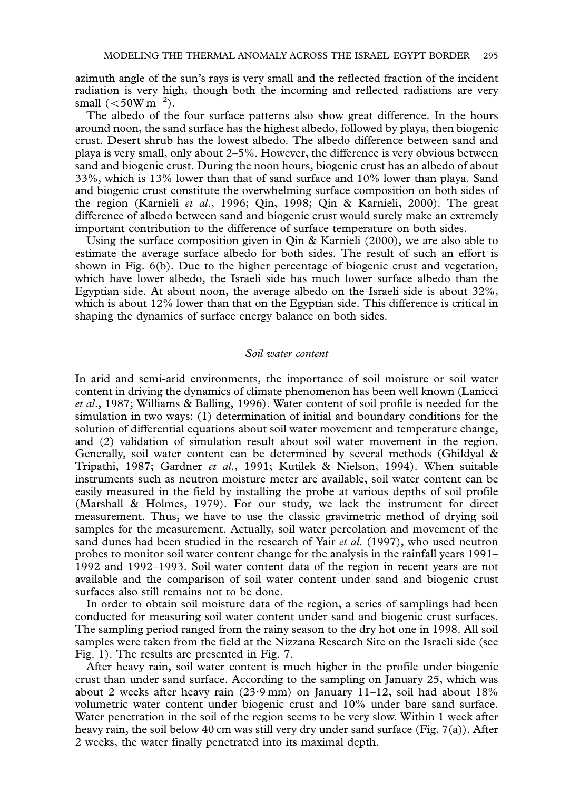azimuth angle of the sun's rays is very small and the reflected fraction of the incident radiation is very high, though both the incoming and reflected radiations are very small  $(<50W \text{ m}^{-2})$ .

The albedo of the four surface patterns also show great difference. In the hours around noon, the sand surface has the highest albedo, followed by playa, then biogenic crust. Desert shrub has the lowest albedo. The albedo difference between sand and playa is very small, only about 2–5%. However, the difference is very obvious between sand and biogenic crust. During the noon hours, biogenic crust has an albedo of about 33%, which is 13% lower than that of sand surface and 10% lower than playa. Sand and biogenic crust constitute the overwhelming surface composition on both sides of the region (Karnieli *et al*., 1996; Qin, 1998; Qin & Karnieli, 2000). The great difference of albedo between sand and biogenic crust would surely make an extremely important contribution to the difference of surface temperature on both sides.

Using the surface composition given in Qin & Karnieli (2000), we are also able to estimate the average surface albedo for both sides. The result of such an effort is shown in Fig. 6(b). Due to the higher percentage of biogenic crust and vegetation, which have lower albedo, the Israeli side has much lower surface albedo than the Egyptian side. At about noon, the average albedo on the Israeli side is about 32%, which is about 12% lower than that on the Egyptian side. This difference is critical in shaping the dynamics of surface energy balance on both sides.

## *Soil water content*

In arid and semi-arid environments, the importance of soil moisture or soil water content in driving the dynamics of climate phenomenon has been well known (Lanicci *et al*., 1987; Williams & Balling, 1996). Water content of soil profile is needed for the simulation in two ways: (1) determination of initial and boundary conditions for the solution of differential equations about soil water movement and temperature change, and (2) validation of simulation result about soil water movement in the region. Generally, soil water content can be determined by several methods (Ghildyal & Tripathi, 1987; Gardner *et al*., 1991; Kutilek & Nielson, 1994). When suitable instruments such as neutron moisture meter are available, soil water content can be easily measured in the field by installing the probe at various depths of soil profile (Marshall & Holmes, 1979). For our study, we lack the instrument for direct measurement. Thus, we have to use the classic gravimetric method of drying soil samples for the measurement. Actually, soil water percolation and movement of the sand dunes had been studied in the research of Yair *et al.* (1997), who used neutron probes to monitor soil water content change for the analysis in the rainfall years 1991– 1992 and 1992–1993. Soil water content data of the region in recent years are not available and the comparison of soil water content under sand and biogenic crust surfaces also still remains not to be done.

In order to obtain soil moisture data of the region, a series of samplings had been conducted for measuring soil water content under sand and biogenic crust surfaces. The sampling period ranged from the rainy season to the dry hot one in 1998. All soil samples were taken from the field at the Nizzana Research Site on the Israeli side (see Fig. 1). The results are presented in Fig. 7.

After heavy rain, soil water content is much higher in the profile under biogenic crust than under sand surface. According to the sampling on January 25, which was about 2 weeks after heavy rain  $(23.9 \text{ mm})$  on January 11–12, soil had about 18% volumetric water content under biogenic crust and 10% under bare sand surface. Water penetration in the soil of the region seems to be very slow. Within 1 week after heavy rain, the soil below 40 cm was still very dry under sand surface (Fig. 7(a)). After 2 weeks, the water finally penetrated into its maximal depth.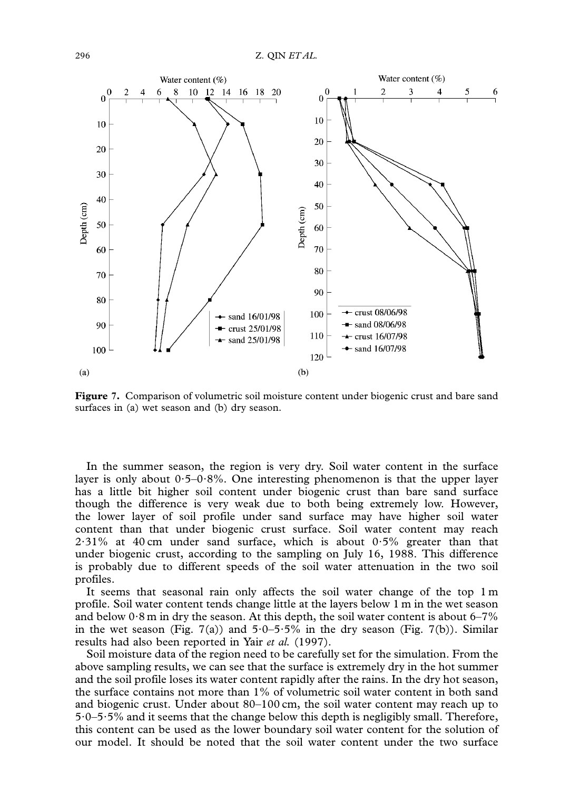

**Figure 7.** Comparison of volumetric soil moisture content under biogenic crust and bare sand surfaces in (a) wet season and (b) dry season.

In the summer season, the region is very dry. Soil water content in the surface layer is only about  $0.5-0.8\%$ . One interesting phenomenon is that the upper layer has a little bit higher soil content under biogenic crust than bare sand surface though the difference is very weak due to both being extremely low. However, the lower layer of soil profile under sand surface may have higher soil water content than that under biogenic crust surface. Soil water content may reach  $2.31\%$  at 40 cm under sand surface, which is about  $0.5\%$  greater than that under biogenic crust, according to the sampling on July 16, 1988. This difference is probably due to different speeds of the soil water attenuation in the two soil profiles.

It seems that seasonal rain only affects the soil water change of the top 1 m profile. Soil water content tends change little at the layers below 1 m in the wet season and below  $0.8$  m in dry the season. At this depth, the soil water content is about 6–7% in the wet season (Fig. 7(a)) and  $5.0-5.5\%$  in the dry season (Fig. 7(b)). Similar results had also been reported in Yair *et al.* (1997).

Soil moisture data of the region need to be carefully set for the simulation. From the above sampling results, we can see that the surface is extremely dry in the hot summer and the soil profile loses its water content rapidly after the rains. In the dry hot season, the surface contains not more than 1% of volumetric soil water content in both sand and biogenic crust. Under about 80–100 cm, the soil water content may reach up to 5?0–5?5% and it seems that the change below this depth is negligibly small. Therefore, this content can be used as the lower boundary soil water content for the solution of our model. It should be noted that the soil water content under the two surface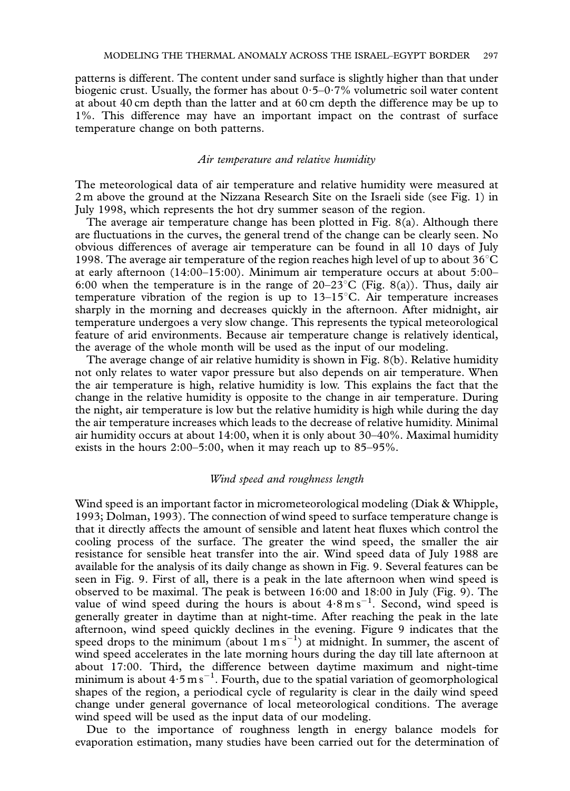patterns is different. The content under sand surface is slightly higher than that under biogenic crust. Usually, the former has about  $0.5-0.7\%$  volumetric soil water content at about 40 cm depth than the latter and at 60 cm depth the difference may be up to 1%. This difference may have an important impact on the contrast of surface temperature change on both patterns.

## *Air temperature and relative humidity*

The meteorological data of air temperature and relative humidity were measured at 2 m above the ground at the Nizzana Research Site on the Israeli side (see Fig. 1) in July 1998, which represents the hot dry summer season of the region.

The average air temperature change has been plotted in Fig. 8(a). Although there are fluctuations in the curves, the general trend of the change can be clearly seen. No obvious differences of average air temperature can be found in all 10 days of July 1998. The average air temperature of the region reaches high level of up to about  $36^{\circ}$ C at early afternoon (14:00–15:00). Minimum air temperature occurs at about 5:00– 6:00 when the temperature is in the range of  $20-23^{\circ}C$  (Fig. 8(a)). Thus, daily air temperature vibration of the region is up to  $13-15^{\circ}$ C. Air temperature increases sharply in the morning and decreases quickly in the afternoon. After midnight, air temperature undergoes a very slow change. This represents the typical meteorological feature of arid environments. Because air temperature change is relatively identical, the average of the whole month will be used as the input of our modeling.

The average change of air relative humidity is shown in Fig. 8(b). Relative humidity not only relates to water vapor pressure but also depends on air temperature. When the air temperature is high, relative humidity is low. This explains the fact that the change in the relative humidity is opposite to the change in air temperature. During the night, air temperature is low but the relative humidity is high while during the day the air temperature increases which leads to the decrease of relative humidity. Minimal air humidity occurs at about 14:00, when it is only about 30–40%. Maximal humidity exists in the hours 2:00–5:00, when it may reach up to 85–95%.

## *Wind speed and roughness length*

Wind speed is an important factor in micrometeorological modeling (Diak & Whipple, 1993; Dolman, 1993). The connection of wind speed to surface temperature change is that it directly affects the amount of sensible and latent heat fluxes which control the cooling process of the surface. The greater the wind speed, the smaller the air resistance for sensible heat transfer into the air. Wind speed data of July 1988 are available for the analysis of its daily change as shown in Fig. 9. Several features can be seen in Fig. 9. First of all, there is a peak in the late afternoon when wind speed is observed to be maximal. The peak is between 16:00 and 18:00 in July (Fig. 9). The value of wind speed during the hours is about  $4.8 \text{ m s}^{-1}$ . Second, wind speed is generally greater in daytime than at night-time. After reaching the peak in the late afternoon, wind speed quickly declines in the evening. Figure 9 indicates that the speed drops to the minimum (about  $1 \text{ m s}^{-1}$ ) at midnight. In summer, the ascent of wind speed accelerates in the late morning hours during the day till late afternoon at about 17:00. Third, the difference between daytime maximum and night-time minimum is about  $4.5 \text{ m s}^{-1}$ . Fourth, due to the spatial variation of geomorphological shapes of the region, a periodical cycle of regularity is clear in the daily wind speed change under general governance of local meteorological conditions. The average wind speed will be used as the input data of our modeling.

Due to the importance of roughness length in energy balance models for evaporation estimation, many studies have been carried out for the determination of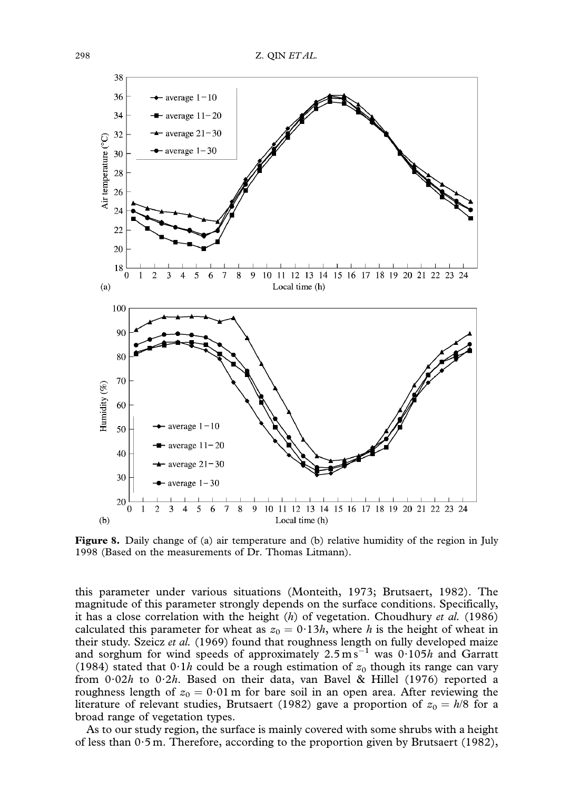

Figure 8. Daily change of (a) air temperature and (b) relative humidity of the region in July 1998 (Based on the measurements of Dr. Thomas Litmann).

this parameter under various situations (Monteith, 1973; Brutsaert, 1982). The magnitude of this parameter strongly depends on the surface conditions. Specifically, it has a close correlation with the height (*h*) of vegetation. Choudhury *et al.* (1986) calculated this parameter for wheat as  $z_0 = 0.13h$ , where *h* is the height of wheat in their study. Szeicz *et al.* (1969) found that roughness length on fully developed maize and sorghum for wind speeds of approximately  $2.5 \text{ m s}^{-1}$  was  $0.105h$  and Garratt (1984) stated that  $0.1h$  could be a rough estimation of  $z_0$  though its range can vary from 0?02*h* to 0?2*h*. Based on their data, van Bavel & Hillel (1976) reported a roughness length of  $z_0 = 0.01$  m for bare soil in an open area. After reviewing the literature of relevant studies, Brutsaert (1982) gave a proportion of  $z_0 = h/8$  for a broad range of vegetation types.

As to our study region, the surface is mainly covered with some shrubs with a height of less than 0?5 m. Therefore, according to the proportion given by Brutsaert (1982),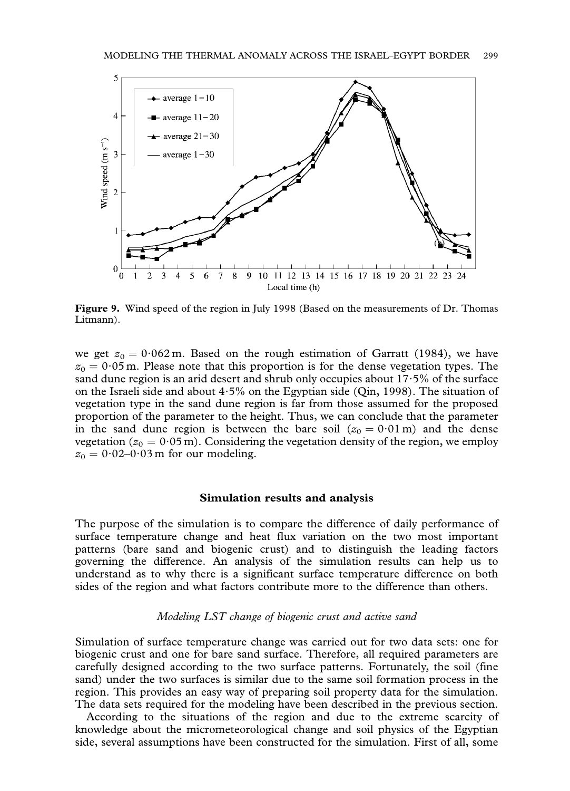![](_page_18_Figure_1.jpeg)

**Figure 9.** Wind speed of the region in July 1998 (Based on the measurements of Dr. Thomas Litmann).

we get  $z_0 = 0.062$  m. Based on the rough estimation of Garratt (1984), we have  $z_0 = 0.05$  m. Please note that this proportion is for the dense vegetation types. The sand dune region is an arid desert and shrub only occupies about 17?5% of the surface on the Israeli side and about  $4.5\%$  on the Egyptian side (Qin, 1998). The situation of vegetation type in the sand dune region is far from those assumed for the proposed proportion of the parameter to the height. Thus, we can conclude that the parameter in the sand dune region is between the bare soil ( $z_0 = 0.01$  m) and the dense vegetation ( $z_0 = 0.05$  m). Considering the vegetation density of the region, we employ  $z_0 = 0.02{\text -}0.03$  m for our modeling.

#### **Simulation results and analysis**

The purpose of the simulation is to compare the difference of daily performance of surface temperature change and heat flux variation on the two most important patterns (bare sand and biogenic crust) and to distinguish the leading factors governing the difference. An analysis of the simulation results can help us to understand as to why there is a significant surface temperature difference on both sides of the region and what factors contribute more to the difference than others.

#### *Modeling LST change of biogenic crust and active sand*

Simulation of surface temperature change was carried out for two data sets: one for biogenic crust and one for bare sand surface. Therefore, all required parameters are carefully designed according to the two surface patterns. Fortunately, the soil (fine sand) under the two surfaces is similar due to the same soil formation process in the region. This provides an easy way of preparing soil property data for the simulation. The data sets required for the modeling have been described in the previous section.

According to the situations of the region and due to the extreme scarcity of knowledge about the micrometeorological change and soil physics of the Egyptian side, several assumptions have been constructed for the simulation. First of all, some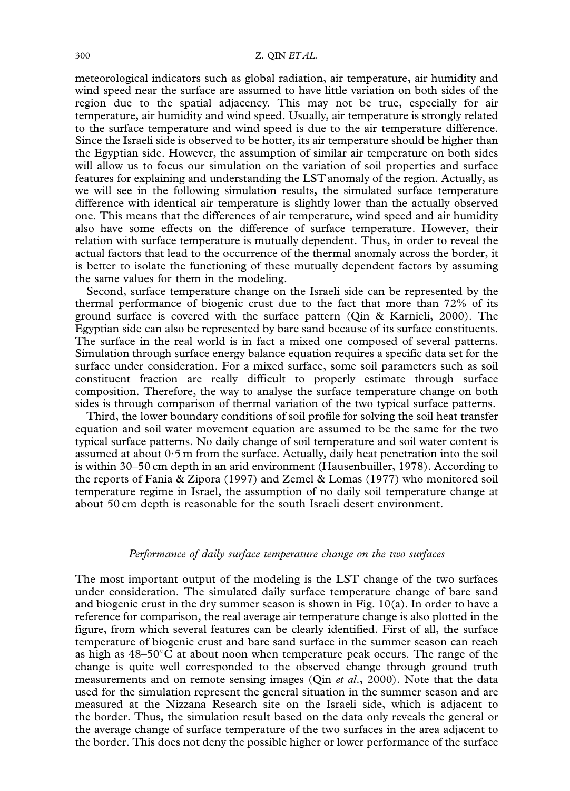meteorological indicators such as global radiation, air temperature, air humidity and wind speed near the surface are assumed to have little variation on both sides of the region due to the spatial adjacency. This may not be true, especially for air temperature, air humidity and wind speed. Usually, air temperature is strongly related to the surface temperature and wind speed is due to the air temperature difference. Since the Israeli side is observed to be hotter, its air temperature should be higher than the Egyptian side. However, the assumption of similar air temperature on both sides will allow us to focus our simulation on the variation of soil properties and surface features for explaining and understanding the LST anomaly of the region. Actually, as we will see in the following simulation results, the simulated surface temperature difference with identical air temperature is slightly lower than the actually observed one. This means that the differences of air temperature, wind speed and air humidity also have some effects on the difference of surface temperature. However, their relation with surface temperature is mutually dependent. Thus, in order to reveal the actual factors that lead to the occurrence of the thermal anomaly across the border, it is better to isolate the functioning of these mutually dependent factors by assuming the same values for them in the modeling.

Second, surface temperature change on the Israeli side can be represented by the thermal performance of biogenic crust due to the fact that more than 72% of its ground surface is covered with the surface pattern (Qin & Karnieli, 2000). The Egyptian side can also be represented by bare sand because of its surface constituents. The surface in the real world is in fact a mixed one composed of several patterns. Simulation through surface energy balance equation requires a specific data set for the surface under consideration. For a mixed surface, some soil parameters such as soil constituent fraction are really difficult to properly estimate through surface composition. Therefore, the way to analyse the surface temperature change on both sides is through comparison of thermal variation of the two typical surface patterns.

Third, the lower boundary conditions of soil profile for solving the soil heat transfer equation and soil water movement equation are assumed to be the same for the two typical surface patterns. No daily change of soil temperature and soil water content is assumed at about  $0.5$  m from the surface. Actually, daily heat penetration into the soil is within 30–50 cm depth in an arid environment (Hausenbuiller, 1978). According to the reports of Fania & Zipora (1997) and Zemel & Lomas (1977) who monitored soil temperature regime in Israel, the assumption of no daily soil temperature change at about 50 cm depth is reasonable for the south Israeli desert environment.

## *Performance of daily surface temperature change on the two surfaces*

The most important output of the modeling is the LST change of the two surfaces under consideration. The simulated daily surface temperature change of bare sand and biogenic crust in the dry summer season is shown in Fig.  $10(a)$ . In order to have a reference for comparison, the real average air temperature change is also plotted in the figure, from which several features can be clearly identified. First of all, the surface temperature of biogenic crust and bare sand surface in the summer season can reach as high as  $48-50^{\circ}$ C at about noon when temperature peak occurs. The range of the change is quite well corresponded to the observed change through ground truth measurements and on remote sensing images (Qin *et al*., 2000). Note that the data used for the simulation represent the general situation in the summer season and are measured at the Nizzana Research site on the Israeli side, which is adjacent to the border. Thus, the simulation result based on the data only reveals the general or the average change of surface temperature of the two surfaces in the area adjacent to the border. This does not deny the possible higher or lower performance of the surface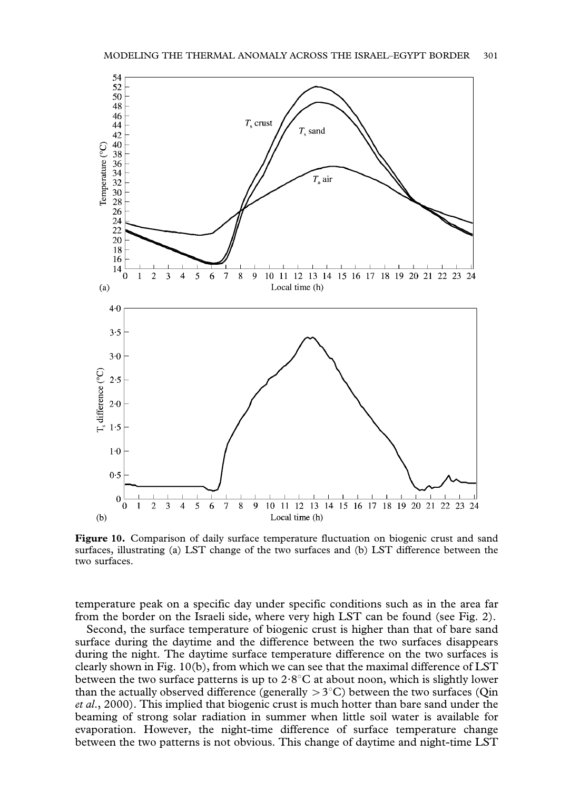![](_page_20_Figure_1.jpeg)

**Figure 10.** Comparison of daily surface temperature fluctuation on biogenic crust and sand surfaces, illustrating (a) LST change of the two surfaces and (b) LST difference between the two surfaces.

temperature peak on a specific day under specific conditions such as in the area far from the border on the Israeli side, where very high LST can be found (see Fig. 2).

Second, the surface temperature of biogenic crust is higher than that of bare sand surface during the daytime and the difference between the two surfaces disappears during the night. The daytime surface temperature difference on the two surfaces is clearly shown in Fig. 10(b), from which we can see that the maximal difference of LST between the two surface patterns is up to  $2.8^{\circ}$ C at about noon, which is slightly lower than the actually observed difference (generally  $>3^{\circ}C$ ) between the two surfaces (Qin *et al*., 2000). This implied that biogenic crust is much hotter than bare sand under the beaming of strong solar radiation in summer when little soil water is available for evaporation. However, the night-time difference of surface temperature change between the two patterns is not obvious. This change of daytime and night-time LST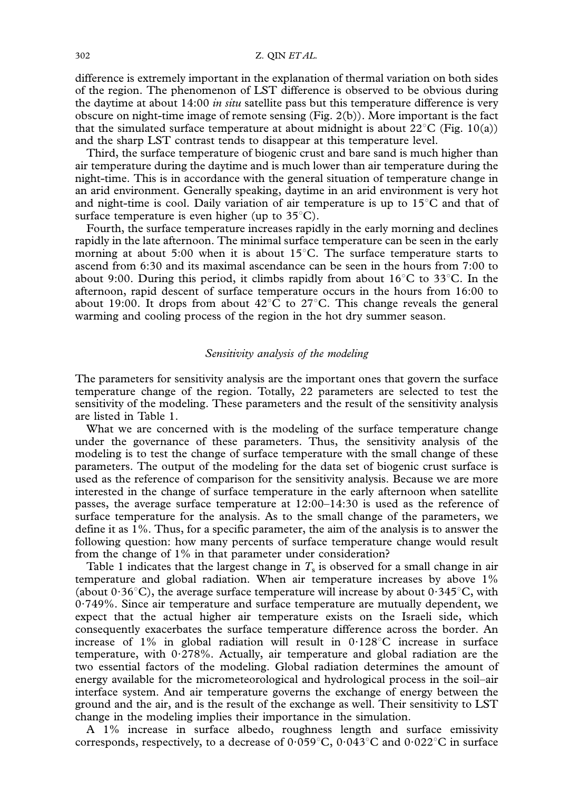difference is extremely important in the explanation of thermal variation on both sides of the region. The phenomenon of LST difference is observed to be obvious during the daytime at about 14:00 *in situ* satellite pass but this temperature difference is very obscure on night-time image of remote sensing (Fig. 2(b)). More important is the fact that the simulated surface temperature at about midnight is about  $22^{\circ}C$  (Fig. 10(a)) and the sharp LST contrast tends to disappear at this temperature level.

Third, the surface temperature of biogenic crust and bare sand is much higher than air temperature during the daytime and is much lower than air temperature during the night-time. This is in accordance with the general situation of temperature change in an arid environment. Generally speaking, daytime in an arid environment is very hot and night-time is cool. Daily variation of air temperature is up to  $15^{\circ}$ C and that of surface temperature is even higher (up to  $35^{\circ}$ C).

Fourth, the surface temperature increases rapidly in the early morning and declines rapidly in the late afternoon. The minimal surface temperature can be seen in the early morning at about 5:00 when it is about  $15^{\circ}$ C. The surface temperature starts to ascend from 6:30 and its maximal ascendance can be seen in the hours from 7:00 to about 9:00. During this period, it climbs rapidly from about  $16^{\circ}$ C to  $33^{\circ}$ C. In the afternoon, rapid descent of surface temperature occurs in the hours from 16:00 to about 19:00. It drops from about  $42^{\circ}$ C to  $27^{\circ}$ C. This change reveals the general warming and cooling process of the region in the hot dry summer season.

## *Sensitivity analysis of the modeling*

The parameters for sensitivity analysis are the important ones that govern the surface temperature change of the region. Totally, 22 parameters are selected to test the sensitivity of the modeling. These parameters and the result of the sensitivity analysis are listed in Table 1.

What we are concerned with is the modeling of the surface temperature change under the governance of these parameters. Thus, the sensitivity analysis of the modeling is to test the change of surface temperature with the small change of these parameters. The output of the modeling for the data set of biogenic crust surface is used as the reference of comparison for the sensitivity analysis. Because we are more interested in the change of surface temperature in the early afternoon when satellite passes, the average surface temperature at 12:00–14:30 is used as the reference of surface temperature for the analysis. As to the small change of the parameters, we define it as 1%. Thus, for a specific parameter, the aim of the analysis is to answer the following question: how many percents of surface temperature change would result from the change of 1% in that parameter under consideration?

Table 1 indicates that the largest change in  $T_s$  is observed for a small change in air temperature and global radiation. When air temperature increases by above 1% (about  $0.36^{\circ}$ C), the average surface temperature will increase by about  $0.345^{\circ}$ C, with 0?749%. Since air temperature and surface temperature are mutually dependent, we expect that the actual higher air temperature exists on the Israeli side, which consequently exacerbates the surface temperature difference across the border. An increase of  $1\%$  in global radiation will result in  $0.128\degree$ C increase in surface temperature, with  $0.278\%$ . Actually, air temperature and global radiation are the two essential factors of the modeling. Global radiation determines the amount of energy available for the micrometeorological and hydrological process in the soil–air interface system. And air temperature governs the exchange of energy between the ground and the air, and is the result of the exchange as well. Their sensitivity to LST change in the modeling implies their importance in the simulation.

A 1% increase in surface albedo, roughness length and surface emissivity corresponds, respectively, to a decrease of  $0.059^{\circ}C$ ,  $0.043^{\circ}C$  and  $0.022^{\circ}C$  in surface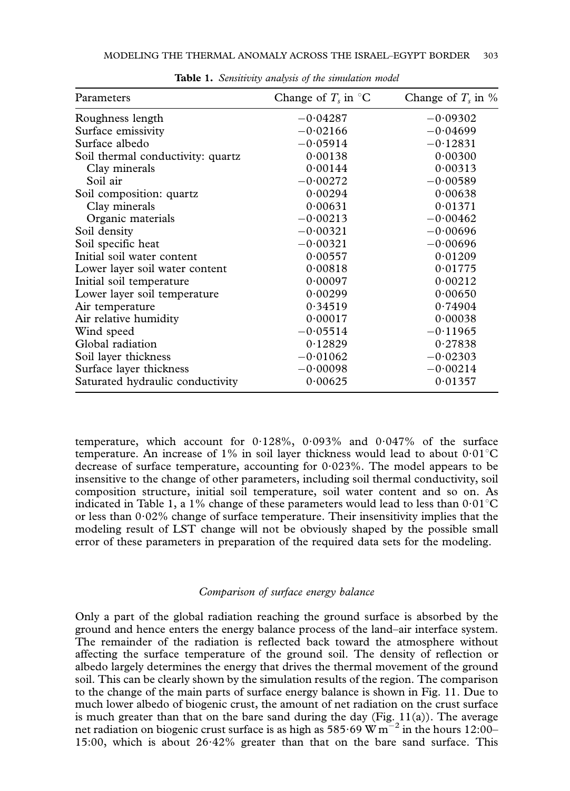| Parameters                        | Change of $T_s$ in ${}^{\circ}$ C | Change of $T_s$ in % |
|-----------------------------------|-----------------------------------|----------------------|
| Roughness length                  | $-0.04287$                        | $-0.09302$           |
| Surface emissivity                | $-0.02166$                        | $-0.04699$           |
| Surface albedo                    | $-0.05914$                        | $-0.12831$           |
| Soil thermal conductivity: quartz | 0.00138                           | 0.00300              |
| Clay minerals                     | 0.00144                           | 0.00313              |
| Soil air                          | $-0.00272$                        | $-0.00589$           |
| Soil composition: quartz          | 0.00294                           | 0.00638              |
| Clay minerals                     | 0.00631                           | 0.01371              |
| Organic materials                 | $-0.00213$                        | $-0.00462$           |
| Soil density                      | $-0.00321$                        | $-0.00696$           |
| Soil specific heat                | $-0.00321$                        | $-0.00696$           |
| Initial soil water content        | 0.00557                           | 0.01209              |
| Lower layer soil water content    | 0.00818                           | 0.01775              |
| Initial soil temperature          | 0.00097                           | 0.00212              |
| Lower layer soil temperature      | 0.00299                           | 0.00650              |
| Air temperature                   | 0.34519                           | 0.74904              |
| Air relative humidity             | 0.00017                           | 0.00038              |
| Wind speed                        | $-0.05514$                        | $-0.11965$           |
| Global radiation                  | 0.12829                           | 0.27838              |
| Soil layer thickness              | $-0.01062$                        | $-0.02303$           |
| Surface layer thickness           | $-0.00098$                        | $-0.00214$           |
| Saturated hydraulic conductivity  | 0.00625                           | 0.01357              |

**Table 1.** *Sensitivity analysis of the simulation model*

temperature, which account for  $0.128\%$ ,  $0.093\%$  and  $0.047\%$  of the surface temperature. An increase of 1% in soil layer thickness would lead to about  $0.01^{\circ}$ C decrease of surface temperature, accounting for  $0.023\%$ . The model appears to be insensitive to the change of other parameters, including soil thermal conductivity, soil composition structure, initial soil temperature, soil water content and so on. As indicated in Table 1, a 1% change of these parameters would lead to less than  $0.01^{\circ}C$ or less than  $0.02\%$  change of surface temperature. Their insensitivity implies that the modeling result of LST change will not be obviously shaped by the possible small error of these parameters in preparation of the required data sets for the modeling.

### *Comparison of surface energy balance*

Only a part of the global radiation reaching the ground surface is absorbed by the ground and hence enters the energy balance process of the land–air interface system. The remainder of the radiation is reflected back toward the atmosphere without affecting the surface temperature of the ground soil. The density of reflection or albedo largely determines the energy that drives the thermal movement of the ground soil. This can be clearly shown by the simulation results of the region. The comparison to the change of the main parts of surface energy balance is shown in Fig. 11. Due to much lower albedo of biogenic crust, the amount of net radiation on the crust surface is much greater than that on the bare sand during the day  $(Fig. 11(a))$ . The average net radiation on biogenic crust surface is as high as 585 $\cdot$ 69 W m $^{-2}$  in the hours 12:00– 15:00, which is about  $26.42\%$  greater than that on the bare sand surface. This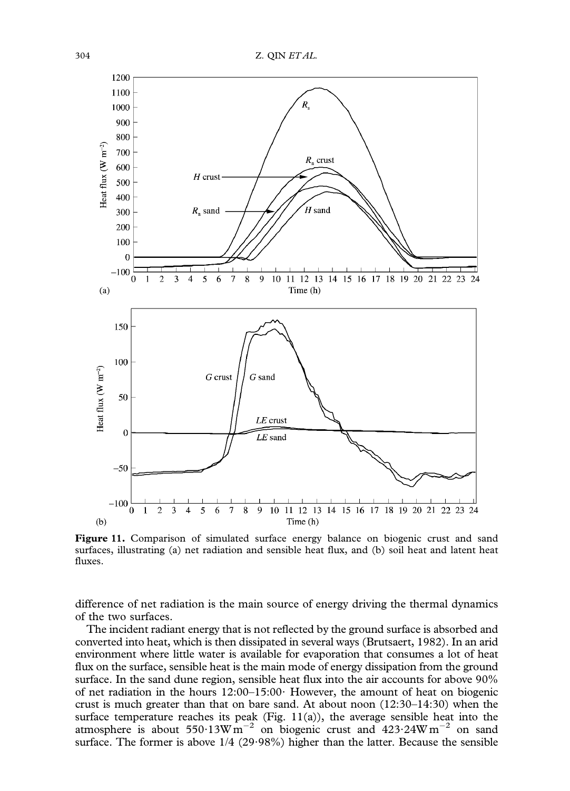![](_page_23_Figure_1.jpeg)

Figure 11. Comparison of simulated surface energy balance on biogenic crust and sand surfaces, illustrating (a) net radiation and sensible heat flux, and (b) soil heat and latent heat fluxes.

difference of net radiation is the main source of energy driving the thermal dynamics of the two surfaces.

The incident radiant energy that is not reflected by the ground surface is absorbed and converted into heat, which is then dissipated in several ways (Brutsaert, 1982). In an arid environment where little water is available for evaporation that consumes a lot of heat flux on the surface, sensible heat is the main mode of energy dissipation from the ground surface. In the sand dune region, sensible heat flux into the air accounts for above 90% of net radiation in the hours  $12:00-15:00$ . However, the amount of heat on biogenic crust is much greater than that on bare sand. At about noon (12:30–14:30) when the surface temperature reaches its peak (Fig. 11(a)), the average sensible heat into the atmosphere is about 550.13W  $\text{m}^{-2}$  on biogenic crust and 423.24W  $\text{m}^{-2}$  on sand surface. The former is above  $1/4$  (29.98%) higher than the latter. Because the sensible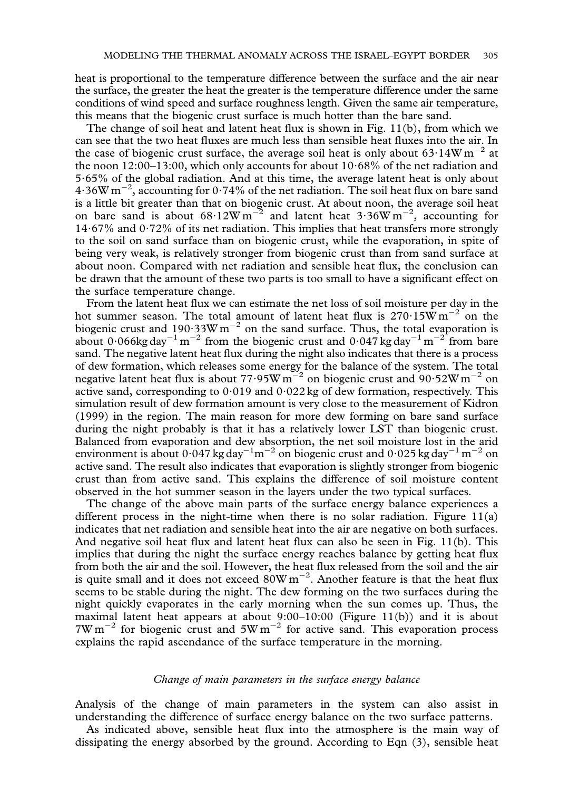heat is proportional to the temperature difference between the surface and the air near the surface, the greater the heat the greater is the temperature difference under the same conditions of wind speed and surface roughness length. Given the same air temperature, this means that the biogenic crust surface is much hotter than the bare sand.

The change of soil heat and latent heat flux is shown in Fig. 11(b), from which we can see that the two heat fluxes are much less than sensible heat fluxes into the air. In the case of biogenic crust surface, the average soil heat is only about  $63.14 \text{W m}^{-2}$  at the noon  $12:00-13:00$ , which only accounts for about  $10.68\%$  of the net radiation and 5?65% of the global radiation. And at this time, the average latent heat is only about  $4.36W$  m<sup>-2</sup>, accounting for 0.74% of the net radiation. The soil heat flux on bare sand is a little bit greater than that on biogenic crust. At about noon, the average soil heat on bare sand is about  $68.12 \text{W m}^{-2}$  and latent heat  $3.36 \text{W m}^{-2}$ , accounting for  $14.67\%$  and  $0.72\%$  of its net radiation. This implies that heat transfers more strongly to the soil on sand surface than on biogenic crust, while the evaporation, in spite of being very weak, is relatively stronger from biogenic crust than from sand surface at about noon. Compared with net radiation and sensible heat flux, the conclusion can be drawn that the amount of these two parts is too small to have a significant effect on the surface temperature change.

From the latent heat flux we can estimate the net loss of soil moisture per day in the hot summer season. The total amount of latent heat flux is  $270.15\text{W m}^{-2}$  on the biogenic crust and 190 $\cdot$ 33W m<sup>-2</sup> on the sand surface. Thus, the total evaporation is about 0.066kg day<sup>-1</sup> m<sup>-2</sup> from the biogenic crust and 0.047 kg day<sup>-1</sup> m<sup>-2</sup> from bare sand. The negative latent heat flux during the night also indicates that there is a process of dew formation, which releases some energy for the balance of the system. The total negative latent heat flux is about 77.95W  $m^{-2}$  on biogenic crust and 90.52W  $m^{-2}$  on active sand, corresponding to  $0.019$  and  $0.022$  kg of dew formation, respectively. This simulation result of dew formation amount is very close to the measurement of Kidron (1999) in the region. The main reason for more dew forming on bare sand surface during the night probably is that it has a relatively lower LST than biogenic crust. Balanced from evaporation and dew absorption, the net soil moisture lost in the arid environment is about 0.047 kg day<sup>-1</sup>m<sup>-2</sup> on biogenic crust and 0.025 kg day<sup>-1</sup> m<sup>-2</sup> on active sand. The result also indicates that evaporation is slightly stronger from biogenic crust than from active sand. This explains the difference of soil moisture content observed in the hot summer season in the layers under the two typical surfaces.

The change of the above main parts of the surface energy balance experiences a different process in the night-time when there is no solar radiation. Figure  $11(a)$ indicates that net radiation and sensible heat into the air are negative on both surfaces. And negative soil heat flux and latent heat flux can also be seen in Fig. 11(b). This implies that during the night the surface energy reaches balance by getting heat flux from both the air and the soil. However, the heat flux released from the soil and the air is quite small and it does not exceed  $80W \, \text{m}^{-2}$ . Another feature is that the heat flux seems to be stable during the night. The dew forming on the two surfaces during the night quickly evaporates in the early morning when the sun comes up. Thus, the maximal latent heat appears at about 9:00–10:00 (Figure 11(b)) and it is about  $7W \text{ m}^{-2}$  for biogenic crust and  $5W \text{ m}^{-2}$  for active sand. This evaporation process explains the rapid ascendance of the surface temperature in the morning.

#### *Change of main parameters in the surface energy balance*

Analysis of the change of main parameters in the system can also assist in understanding the difference of surface energy balance on the two surface patterns.

As indicated above, sensible heat flux into the atmosphere is the main way of dissipating the energy absorbed by the ground. According to Eqn (3), sensible heat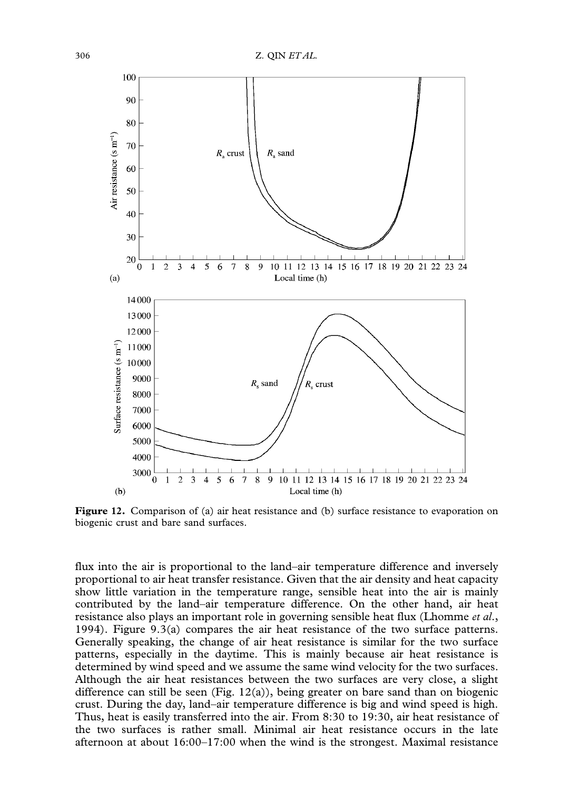![](_page_25_Figure_1.jpeg)

Figure 12. Comparison of (a) air heat resistance and (b) surface resistance to evaporation on biogenic crust and bare sand surfaces.

flux into the air is proportional to the land–air temperature difference and inversely proportional to air heat transfer resistance. Given that the air density and heat capacity show little variation in the temperature range, sensible heat into the air is mainly contributed by the land–air temperature difference. On the other hand, air heat resistance also plays an important role in governing sensible heat flux (Lhomme *et al*., 1994). Figure 9.3(a) compares the air heat resistance of the two surface patterns. Generally speaking, the change of air heat resistance is similar for the two surface patterns, especially in the daytime. This is mainly because air heat resistance is determined by wind speed and we assume the same wind velocity for the two surfaces. Although the air heat resistances between the two surfaces are very close, a slight difference can still be seen (Fig.  $12(a)$ ), being greater on bare sand than on biogenic crust. During the day, land–air temperature difference is big and wind speed is high. Thus, heat is easily transferred into the air. From 8:30 to 19:30, air heat resistance of the two surfaces is rather small. Minimal air heat resistance occurs in the late afternoon at about 16:00–17:00 when the wind is the strongest. Maximal resistance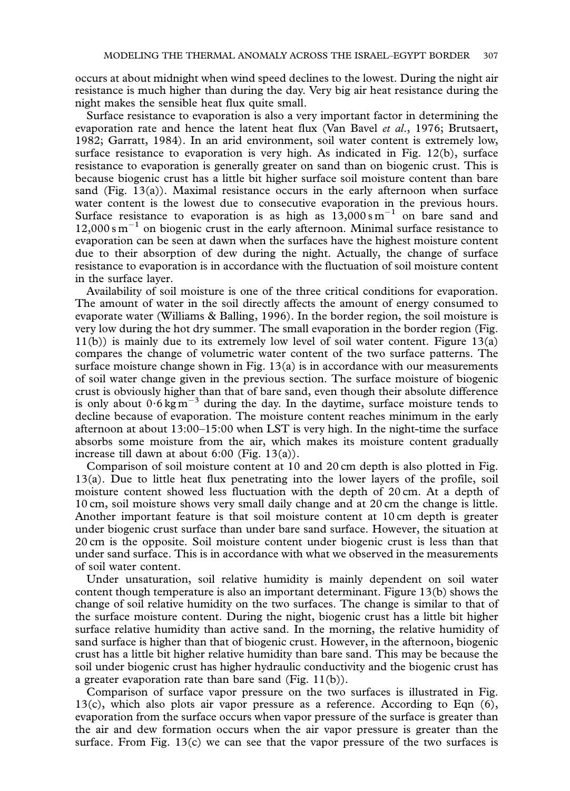occurs at about midnight when wind speed declines to the lowest. During the night air resistance is much higher than during the day. Very big air heat resistance during the night makes the sensible heat flux quite small.

Surface resistance to evaporation is also a very important factor in determining the evaporation rate and hence the latent heat flux (Van Bavel *et al*., 1976; Brutsaert, 1982; Garratt, 1984). In an arid environment, soil water content is extremely low, surface resistance to evaporation is very high. As indicated in Fig. 12(b), surface resistance to evaporation is generally greater on sand than on biogenic crust. This is because biogenic crust has a little bit higher surface soil moisture content than bare sand (Fig.  $13(a)$ ). Maximal resistance occurs in the early afternoon when surface water content is the lowest due to consecutive evaporation in the previous hours. Surface resistance to evaporation is as high as  $13,000 \text{ s m}^{-1}$  on bare sand and  $12,000$  s m<sup>-1</sup> on biogenic crust in the early afternoon. Minimal surface resistance to evaporation can be seen at dawn when the surfaces have the highest moisture content due to their absorption of dew during the night. Actually, the change of surface resistance to evaporation is in accordance with the fluctuation of soil moisture content in the surface layer.

Availability of soil moisture is one of the three critical conditions for evaporation. The amount of water in the soil directly affects the amount of energy consumed to evaporate water (Williams & Balling, 1996). In the border region, the soil moisture is very low during the hot dry summer. The small evaporation in the border region (Fig. 11(b)) is mainly due to its extremely low level of soil water content. Figure 13(a) compares the change of volumetric water content of the two surface patterns. The surface moisture change shown in Fig.  $13(a)$  is in accordance with our measurements of soil water change given in the previous section. The surface moisture of biogenic crust is obviously higher than that of bare sand, even though their absolute difference is only about  $0.6 \text{ kg m}^{-3}$  during the day. In the daytime, surface moisture tends to decline because of evaporation. The moisture content reaches minimum in the early afternoon at about 13:00–15:00 when LST is very high. In the night-time the surface absorbs some moisture from the air, which makes its moisture content gradually increase till dawn at about 6:00 (Fig. 13(a)).

Comparison of soil moisture content at 10 and 20 cm depth is also plotted in Fig. 13(a). Due to little heat flux penetrating into the lower layers of the profile, soil moisture content showed less fluctuation with the depth of 20 cm. At a depth of 10 cm, soil moisture shows very small daily change and at 20 cm the change is little. Another important feature is that soil moisture content at 10 cm depth is greater under biogenic crust surface than under bare sand surface. However, the situation at 20 cm is the opposite. Soil moisture content under biogenic crust is less than that under sand surface. This is in accordance with what we observed in the measurements of soil water content.

Under unsaturation, soil relative humidity is mainly dependent on soil water content though temperature is also an important determinant. Figure 13(b) shows the change of soil relative humidity on the two surfaces. The change is similar to that of the surface moisture content. During the night, biogenic crust has a little bit higher surface relative humidity than active sand. In the morning, the relative humidity of sand surface is higher than that of biogenic crust. However, in the afternoon, biogenic crust has a little bit higher relative humidity than bare sand. This may be because the soil under biogenic crust has higher hydraulic conductivity and the biogenic crust has a greater evaporation rate than bare sand (Fig. 11(b)).

Comparison of surface vapor pressure on the two surfaces is illustrated in Fig.  $13(c)$ , which also plots air vapor pressure as a reference. According to Eqn  $(6)$ , evaporation from the surface occurs when vapor pressure of the surface is greater than the air and dew formation occurs when the air vapor pressure is greater than the surface. From Fig.  $13(c)$  we can see that the vapor pressure of the two surfaces is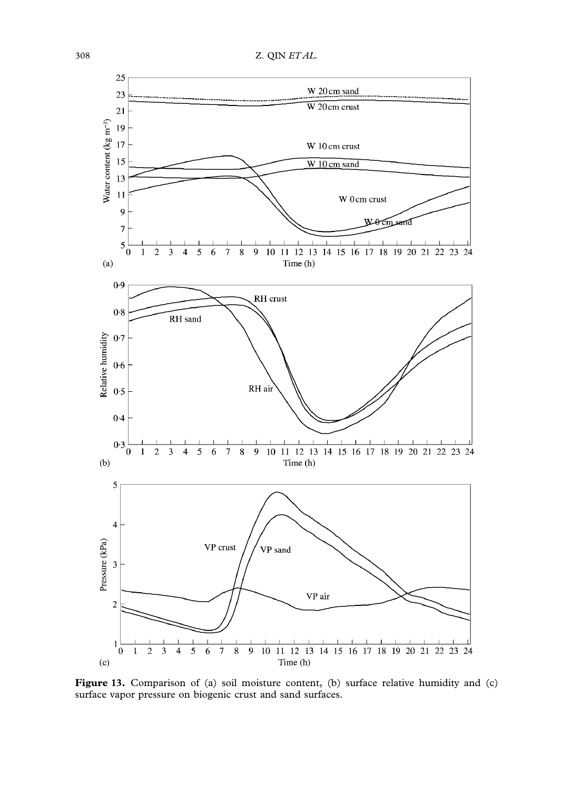![](_page_27_Figure_1.jpeg)

Figure 13. Comparison of (a) soil moisture content, (b) surface relative humidity and (c) surface vapor pressure on biogenic crust and sand surfaces.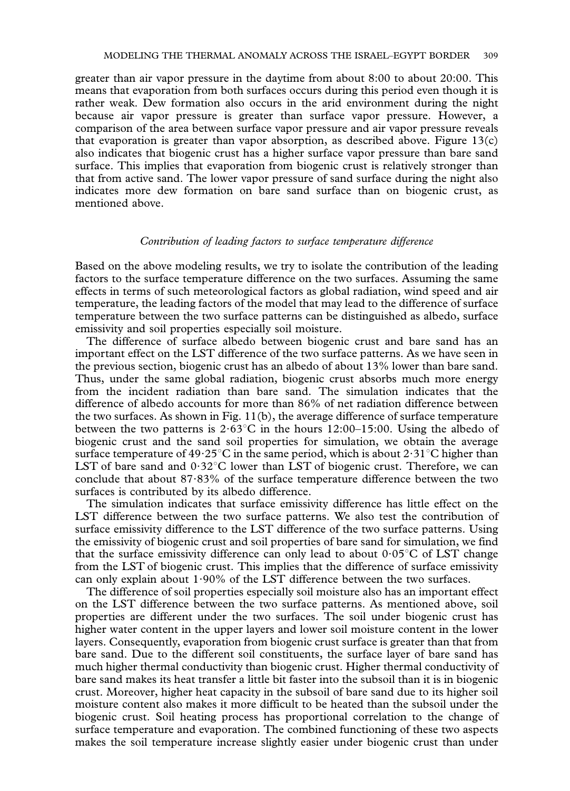greater than air vapor pressure in the daytime from about 8:00 to about 20:00. This means that evaporation from both surfaces occurs during this period even though it is rather weak. Dew formation also occurs in the arid environment during the night because air vapor pressure is greater than surface vapor pressure. However, a comparison of the area between surface vapor pressure and air vapor pressure reveals that evaporation is greater than vapor absorption, as described above. Figure 13(c) also indicates that biogenic crust has a higher surface vapor pressure than bare sand surface. This implies that evaporation from biogenic crust is relatively stronger than that from active sand. The lower vapor pressure of sand surface during the night also indicates more dew formation on bare sand surface than on biogenic crust, as mentioned above.

## *Contribution of leading factors to surface temperature difference*

Based on the above modeling results, we try to isolate the contribution of the leading factors to the surface temperature difference on the two surfaces. Assuming the same effects in terms of such meteorological factors as global radiation, wind speed and air temperature, the leading factors of the model that may lead to the difference of surface temperature between the two surface patterns can be distinguished as albedo, surface emissivity and soil properties especially soil moisture.

The difference of surface albedo between biogenic crust and bare sand has an important effect on the LST difference of the two surface patterns. As we have seen in the previous section, biogenic crust has an albedo of about 13% lower than bare sand. Thus, under the same global radiation, biogenic crust absorbs much more energy from the incident radiation than bare sand. The simulation indicates that the difference of albedo accounts for more than 86% of net radiation difference between the two surfaces. As shown in Fig.  $11(b)$ , the average difference of surface temperature between the two patterns is  $2.63^{\circ}$ C in the hours 12:00–15:00. Using the albedo of biogenic crust and the sand soil properties for simulation, we obtain the average surface temperature of  $49.25^{\circ}$ C in the same period, which is about 2.31 °C higher than LST of bare sand and  $0.32^{\circ}$ C lower than LST of biogenic crust. Therefore, we can conclude that about 87?83% of the surface temperature difference between the two surfaces is contributed by its albedo difference.

The simulation indicates that surface emissivity difference has little effect on the LST difference between the two surface patterns. We also test the contribution of surface emissivity difference to the LST difference of the two surface patterns. Using the emissivity of biogenic crust and soil properties of bare sand for simulation, we find that the surface emissivity difference can only lead to about  $0.05^{\circ}$ C of LST change from the LST of biogenic crust. This implies that the difference of surface emissivity can only explain about  $1.90\%$  of the LST difference between the two surfaces.

The difference of soil properties especially soil moisture also has an important effect on the LST difference between the two surface patterns. As mentioned above, soil properties are different under the two surfaces. The soil under biogenic crust has higher water content in the upper layers and lower soil moisture content in the lower layers. Consequently, evaporation from biogenic crust surface is greater than that from bare sand. Due to the different soil constituents, the surface layer of bare sand has much higher thermal conductivity than biogenic crust. Higher thermal conductivity of bare sand makes its heat transfer a little bit faster into the subsoil than it is in biogenic crust. Moreover, higher heat capacity in the subsoil of bare sand due to its higher soil moisture content also makes it more difficult to be heated than the subsoil under the biogenic crust. Soil heating process has proportional correlation to the change of surface temperature and evaporation. The combined functioning of these two aspects makes the soil temperature increase slightly easier under biogenic crust than under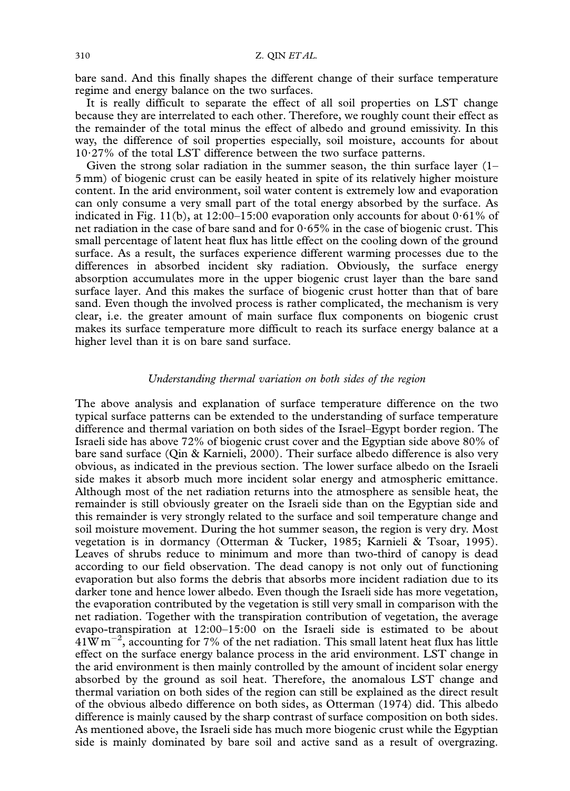bare sand. And this finally shapes the different change of their surface temperature regime and energy balance on the two surfaces.

It is really difficult to separate the effect of all soil properties on LST change because they are interrelated to each other. Therefore, we roughly count their effect as the remainder of the total minus the effect of albedo and ground emissivity. In this way, the difference of soil properties especially, soil moisture, accounts for about  $10.27\%$  of the total LST difference between the two surface patterns.

Given the strong solar radiation in the summer season, the thin surface layer  $(1 -$ 5 mm) of biogenic crust can be easily heated in spite of its relatively higher moisture content. In the arid environment, soil water content is extremely low and evaporation can only consume a very small part of the total energy absorbed by the surface. As indicated in Fig. 11(b), at 12:00–15:00 evaporation only accounts for about  $0.61\%$  of net radiation in the case of bare sand and for  $0.65\%$  in the case of biogenic crust. This small percentage of latent heat flux has little effect on the cooling down of the ground surface. As a result, the surfaces experience different warming processes due to the differences in absorbed incident sky radiation. Obviously, the surface energy absorption accumulates more in the upper biogenic crust layer than the bare sand surface layer. And this makes the surface of biogenic crust hotter than that of bare sand. Even though the involved process is rather complicated, the mechanism is very clear, i.e. the greater amount of main surface flux components on biogenic crust makes its surface temperature more difficult to reach its surface energy balance at a higher level than it is on bare sand surface.

## *Understanding thermal variation on both sides of the region*

The above analysis and explanation of surface temperature difference on the two typical surface patterns can be extended to the understanding of surface temperature difference and thermal variation on both sides of the Israel–Egypt border region. The Israeli side has above 72% of biogenic crust cover and the Egyptian side above 80% of bare sand surface (Qin & Karnieli, 2000). Their surface albedo difference is also very obvious, as indicated in the previous section. The lower surface albedo on the Israeli side makes it absorb much more incident solar energy and atmospheric emittance. Although most of the net radiation returns into the atmosphere as sensible heat, the remainder is still obviously greater on the Israeli side than on the Egyptian side and this remainder is very strongly related to the surface and soil temperature change and soil moisture movement. During the hot summer season, the region is very dry. Most vegetation is in dormancy (Otterman & Tucker, 1985; Karnieli & Tsoar, 1995). Leaves of shrubs reduce to minimum and more than two-third of canopy is dead according to our field observation. The dead canopy is not only out of functioning evaporation but also forms the debris that absorbs more incident radiation due to its darker tone and hence lower albedo. Even though the Israeli side has more vegetation, the evaporation contributed by the vegetation is still very small in comparison with the net radiation. Together with the transpiration contribution of vegetation, the average evapo-transpiration at 12:00–15:00 on the Israeli side is estimated to be about  $41\text{W m}^{-2}$ , accounting for 7% of the net radiation. This small latent heat flux has little effect on the surface energy balance process in the arid environment. LST change in the arid environment is then mainly controlled by the amount of incident solar energy absorbed by the ground as soil heat. Therefore, the anomalous LST change and thermal variation on both sides of the region can still be explained as the direct result of the obvious albedo difference on both sides, as Otterman (1974) did. This albedo difference is mainly caused by the sharp contrast of surface composition on both sides. As mentioned above, the Israeli side has much more biogenic crust while the Egyptian side is mainly dominated by bare soil and active sand as a result of overgrazing.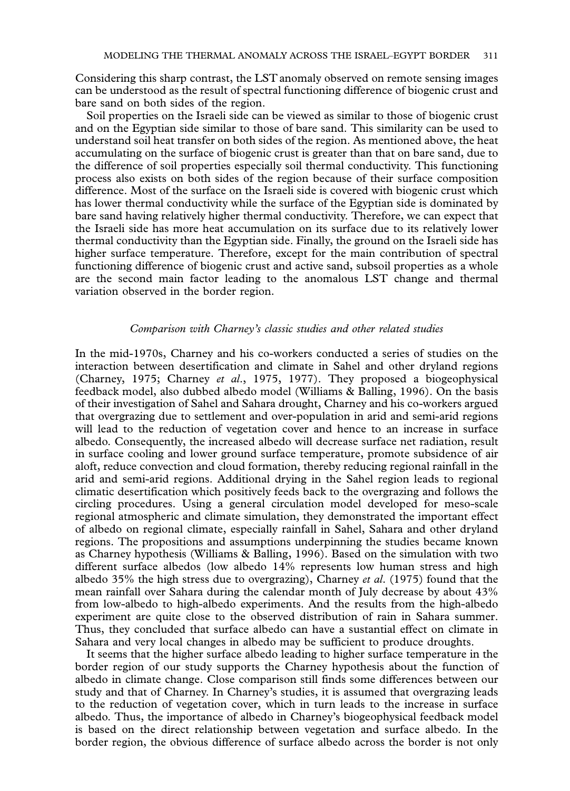Considering this sharp contrast, the LST anomaly observed on remote sensing images can be understood as the result of spectral functioning difference of biogenic crust and bare sand on both sides of the region.

Soil properties on the Israeli side can be viewed as similar to those of biogenic crust and on the Egyptian side similar to those of bare sand. This similarity can be used to understand soil heat transfer on both sides of the region. As mentioned above, the heat accumulating on the surface of biogenic crust is greater than that on bare sand, due to the difference of soil properties especially soil thermal conductivity. This functioning process also exists on both sides of the region because of their surface composition difference. Most of the surface on the Israeli side is covered with biogenic crust which has lower thermal conductivity while the surface of the Egyptian side is dominated by bare sand having relatively higher thermal conductivity. Therefore, we can expect that the Israeli side has more heat accumulation on its surface due to its relatively lower thermal conductivity than the Egyptian side. Finally, the ground on the Israeli side has higher surface temperature. Therefore, except for the main contribution of spectral functioning difference of biogenic crust and active sand, subsoil properties as a whole are the second main factor leading to the anomalous LST change and thermal variation observed in the border region.

#### *Comparison with Charney's classic studies and other related studies*

In the mid-1970s, Charney and his co-workers conducted a series of studies on the interaction between desertification and climate in Sahel and other dryland regions (Charney, 1975; Charney *et al*., 1975, 1977). They proposed a biogeophysical feedback model, also dubbed albedo model (Williams & Balling, 1996). On the basis of their investigation of Sahel and Sahara drought, Charney and his co-workers argued that overgrazing due to settlement and over-population in arid and semi-arid regions will lead to the reduction of vegetation cover and hence to an increase in surface albedo. Consequently, the increased albedo will decrease surface net radiation, result in surface cooling and lower ground surface temperature, promote subsidence of air aloft, reduce convection and cloud formation, thereby reducing regional rainfall in the arid and semi-arid regions. Additional drying in the Sahel region leads to regional climatic desertification which positively feeds back to the overgrazing and follows the circling procedures. Using a general circulation model developed for meso-scale regional atmospheric and climate simulation, they demonstrated the important effect of albedo on regional climate, especially rainfall in Sahel, Sahara and other dryland regions. The propositions and assumptions underpinning the studies became known as Charney hypothesis (Williams & Balling, 1996). Based on the simulation with two different surface albedos (low albedo 14% represents low human stress and high albedo 35% the high stress due to overgrazing), Charney *et al*. (1975) found that the mean rainfall over Sahara during the calendar month of July decrease by about 43% from low-albedo to high-albedo experiments. And the results from the high-albedo experiment are quite close to the observed distribution of rain in Sahara summer. Thus, they concluded that surface albedo can have a sustantial effect on climate in Sahara and very local changes in albedo may be sufficient to produce droughts.

It seems that the higher surface albedo leading to higher surface temperature in the border region of our study supports the Charney hypothesis about the function of albedo in climate change. Close comparison still finds some differences between our study and that of Charney. In Charney's studies, it is assumed that overgrazing leads to the reduction of vegetation cover, which in turn leads to the increase in surface albedo. Thus, the importance of albedo in Charney's biogeophysical feedback model is based on the direct relationship between vegetation and surface albedo. In the border region, the obvious difference of surface albedo across the border is not only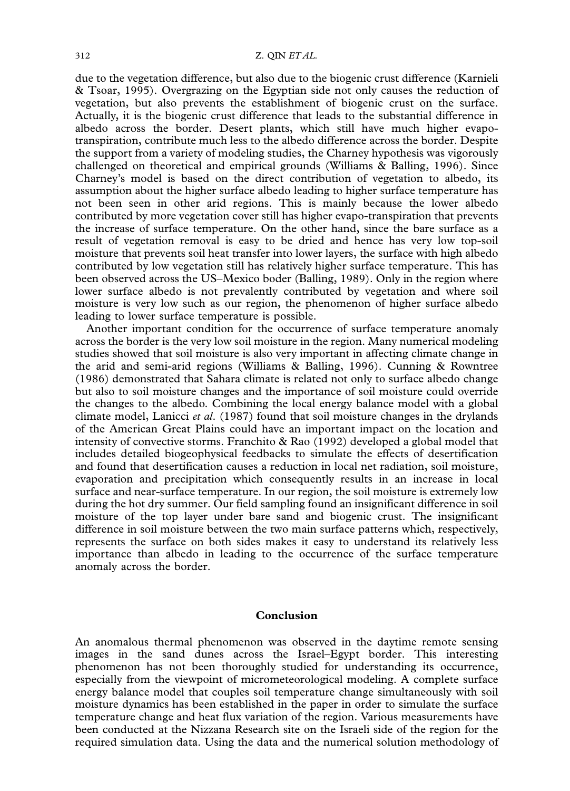due to the vegetation difference, but also due to the biogenic crust difference (Karnieli & Tsoar, 1995). Overgrazing on the Egyptian side not only causes the reduction of vegetation, but also prevents the establishment of biogenic crust on the surface. Actually, it is the biogenic crust difference that leads to the substantial difference in albedo across the border. Desert plants, which still have much higher evapotranspiration, contribute much less to the albedo difference across the border. Despite the support from a variety of modeling studies, the Charney hypothesis was vigorously challenged on theoretical and empirical grounds (Williams & Balling, 1996). Since Charney's model is based on the direct contribution of vegetation to albedo, its assumption about the higher surface albedo leading to higher surface temperature has not been seen in other arid regions. This is mainly because the lower albedo contributed by more vegetation cover still has higher evapo-transpiration that prevents the increase of surface temperature. On the other hand, since the bare surface as a result of vegetation removal is easy to be dried and hence has very low top-soil moisture that prevents soil heat transfer into lower layers, the surface with high albedo contributed by low vegetation still has relatively higher surface temperature. This has been observed across the US–Mexico boder (Balling, 1989). Only in the region where lower surface albedo is not prevalently contributed by vegetation and where soil moisture is very low such as our region, the phenomenon of higher surface albedo leading to lower surface temperature is possible.

Another important condition for the occurrence of surface temperature anomaly across the border is the very low soil moisture in the region. Many numerical modeling studies showed that soil moisture is also very important in affecting climate change in the arid and semi-arid regions (Williams & Balling, 1996). Cunning & Rowntree (1986) demonstrated that Sahara climate is related not only to surface albedo change but also to soil moisture changes and the importance of soil moisture could override the changes to the albedo. Combining the local energy balance model with a global climate model, Lanicci *et al*. (1987) found that soil moisture changes in the drylands of the American Great Plains could have an important impact on the location and intensity of convective storms. Franchito & Rao (1992) developed a global model that includes detailed biogeophysical feedbacks to simulate the effects of desertification and found that desertification causes a reduction in local net radiation, soil moisture, evaporation and precipitation which consequently results in an increase in local surface and near-surface temperature. In our region, the soil moisture is extremely low during the hot dry summer. Our field sampling found an insignificant difference in soil moisture of the top layer under bare sand and biogenic crust. The insignificant difference in soil moisture between the two main surface patterns which, respectively, represents the surface on both sides makes it easy to understand its relatively less importance than albedo in leading to the occurrence of the surface temperature anomaly across the border.

## **Conclusion**

An anomalous thermal phenomenon was observed in the daytime remote sensing images in the sand dunes across the Israel–Egypt border. This interesting phenomenon has not been thoroughly studied for understanding its occurrence, especially from the viewpoint of micrometeorological modeling. A complete surface energy balance model that couples soil temperature change simultaneously with soil moisture dynamics has been established in the paper in order to simulate the surface temperature change and heat flux variation of the region. Various measurements have been conducted at the Nizzana Research site on the Israeli side of the region for the required simulation data. Using the data and the numerical solution methodology of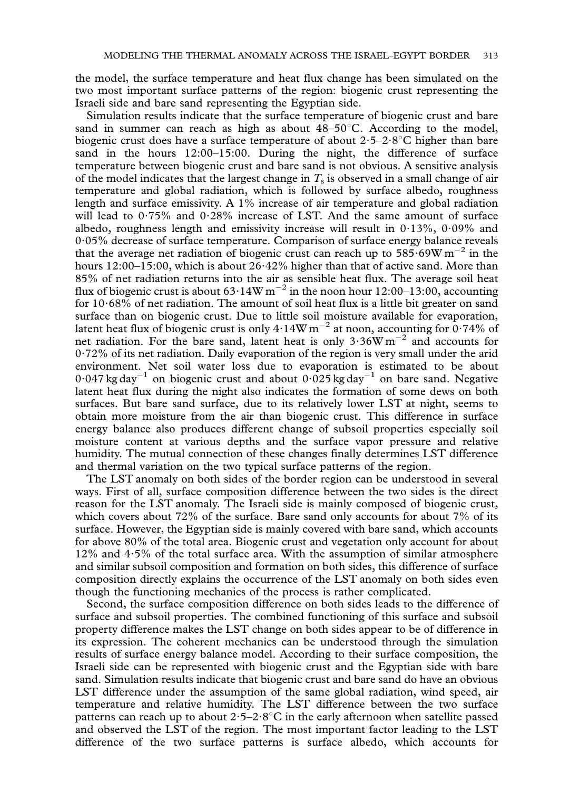the model, the surface temperature and heat flux change has been simulated on the two most important surface patterns of the region: biogenic crust representing the Israeli side and bare sand representing the Egyptian side.

Simulation results indicate that the surface temperature of biogenic crust and bare sand in summer can reach as high as about  $48-50^{\circ}$ C. According to the model, biogenic crust does have a surface temperature of about  $2.5-2.8^{\circ}C$  higher than bare sand in the hours 12:00–15:00. During the night, the difference of surface temperature between biogenic crust and bare sand is not obvious. A sensitive analysis of the model indicates that the largest change in  $T_s$  is observed in a small change of air temperature and global radiation, which is followed by surface albedo, roughness length and surface emissivity. A 1% increase of air temperature and global radiation will lead to  $0.75\%$  and  $0.28\%$  increase of LST. And the same amount of surface albedo, roughness length and emissivity increase will result in  $0.13\%$ ,  $0.09\%$  and 0?05% decrease of surface temperature. Comparison of surface energy balance reveals that the average net radiation of biogenic crust can reach up to  $585.69W \text{ m}^{-2}$  in the hours 12:00-15:00, which is about 26.42% higher than that of active sand. More than 85% of net radiation returns into the air as sensible heat flux. The average soil heat flux of biogenic crust is about  $63.14W \text{ m}^{-2}$  in the noon hour 12:00–13:00, accounting for 10?68% of net radiation. The amount of soil heat flux is a little bit greater on sand surface than on biogenic crust. Due to little soil moisture available for evaporation, latent heat flux of biogenic crust is only  $4.14W m^{-2}$  at noon, accounting for 0.74% of net radiation. For the bare sand, latent heat is only  $3.36W \text{ m}^{-2}$  and accounts for 0?72% of its net radiation. Daily evaporation of the region is very small under the arid environment. Net soil water loss due to evaporation is estimated to be about  $0.047$  kg day<sup>-1</sup> on biogenic crust and about  $0.025$  kg day<sup>-1</sup> on bare sand. Negative latent heat flux during the night also indicates the formation of some dews on both surfaces. But bare sand surface, due to its relatively lower LST at night, seems to obtain more moisture from the air than biogenic crust. This difference in surface energy balance also produces different change of subsoil properties especially soil moisture content at various depths and the surface vapor pressure and relative humidity. The mutual connection of these changes finally determines LST difference and thermal variation on the two typical surface patterns of the region.

The LST anomaly on both sides of the border region can be understood in several ways. First of all, surface composition difference between the two sides is the direct reason for the LST anomaly. The Israeli side is mainly composed of biogenic crust, which covers about 72% of the surface. Bare sand only accounts for about 7% of its surface. However, the Egyptian side is mainly covered with bare sand, which accounts for above 80% of the total area. Biogenic crust and vegetation only account for about 12% and 4?5% of the total surface area. With the assumption of similar atmosphere and similar subsoil composition and formation on both sides, this difference of surface composition directly explains the occurrence of the LST anomaly on both sides even though the functioning mechanics of the process is rather complicated.

Second, the surface composition difference on both sides leads to the difference of surface and subsoil properties. The combined functioning of this surface and subsoil property difference makes the LST change on both sides appear to be of difference in its expression. The coherent mechanics can be understood through the simulation results of surface energy balance model. According to their surface composition, the Israeli side can be represented with biogenic crust and the Egyptian side with bare sand. Simulation results indicate that biogenic crust and bare sand do have an obvious LST difference under the assumption of the same global radiation, wind speed, air temperature and relative humidity. The LST difference between the two surface patterns can reach up to about  $2.5-2.8^{\circ}C$  in the early afternoon when satellite passed and observed the LST of the region. The most important factor leading to the LST difference of the two surface patterns is surface albedo, which accounts for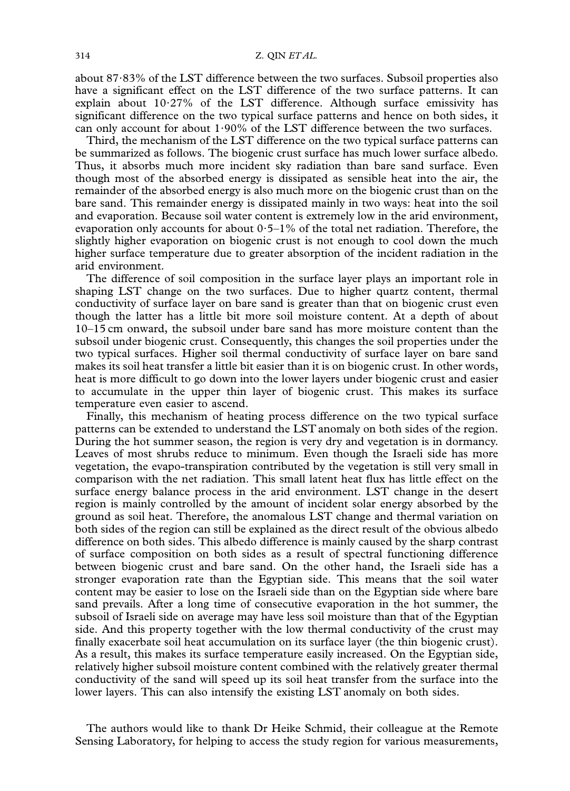about 87?83% of the LST difference between the two surfaces. Subsoil properties also have a significant effect on the LST difference of the two surface patterns. It can explain about  $10.27\%$  of the LST difference. Although surface emissivity has significant difference on the two typical surface patterns and hence on both sides, it can only account for about 1?90% of the LST difference between the two surfaces.

Third, the mechanism of the LST difference on the two typical surface patterns can be summarized as follows. The biogenic crust surface has much lower surface albedo. Thus, it absorbs much more incident sky radiation than bare sand surface. Even though most of the absorbed energy is dissipated as sensible heat into the air, the remainder of the absorbed energy is also much more on the biogenic crust than on the bare sand. This remainder energy is dissipated mainly in two ways: heat into the soil and evaporation. Because soil water content is extremely low in the arid environment, evaporation only accounts for about  $0.5-1%$  of the total net radiation. Therefore, the slightly higher evaporation on biogenic crust is not enough to cool down the much higher surface temperature due to greater absorption of the incident radiation in the arid environment.

The difference of soil composition in the surface layer plays an important role in shaping LST change on the two surfaces. Due to higher quartz content, thermal conductivity of surface layer on bare sand is greater than that on biogenic crust even though the latter has a little bit more soil moisture content. At a depth of about 10–15 cm onward, the subsoil under bare sand has more moisture content than the subsoil under biogenic crust. Consequently, this changes the soil properties under the two typical surfaces. Higher soil thermal conductivity of surface layer on bare sand makes its soil heat transfer a little bit easier than it is on biogenic crust. In other words, heat is more difficult to go down into the lower layers under biogenic crust and easier to accumulate in the upper thin layer of biogenic crust. This makes its surface temperature even easier to ascend.

Finally, this mechanism of heating process difference on the two typical surface patterns can be extended to understand the LST anomaly on both sides of the region. During the hot summer season, the region is very dry and vegetation is in dormancy. Leaves of most shrubs reduce to minimum. Even though the Israeli side has more vegetation, the evapo-transpiration contributed by the vegetation is still very small in comparison with the net radiation. This small latent heat flux has little effect on the surface energy balance process in the arid environment. LST change in the desert region is mainly controlled by the amount of incident solar energy absorbed by the ground as soil heat. Therefore, the anomalous LST change and thermal variation on both sides of the region can still be explained as the direct result of the obvious albedo difference on both sides. This albedo difference is mainly caused by the sharp contrast of surface composition on both sides as a result of spectral functioning difference between biogenic crust and bare sand. On the other hand, the Israeli side has a stronger evaporation rate than the Egyptian side. This means that the soil water content may be easier to lose on the Israeli side than on the Egyptian side where bare sand prevails. After a long time of consecutive evaporation in the hot summer, the subsoil of Israeli side on average may have less soil moisture than that of the Egyptian side. And this property together with the low thermal conductivity of the crust may finally exacerbate soil heat accumulation on its surface layer (the thin biogenic crust). As a result, this makes its surface temperature easily increased. On the Egyptian side, relatively higher subsoil moisture content combined with the relatively greater thermal conductivity of the sand will speed up its soil heat transfer from the surface into the lower layers. This can also intensify the existing LST anomaly on both sides.

The authors would like to thank Dr Heike Schmid, their colleague at the Remote Sensing Laboratory, for helping to access the study region for various measurements,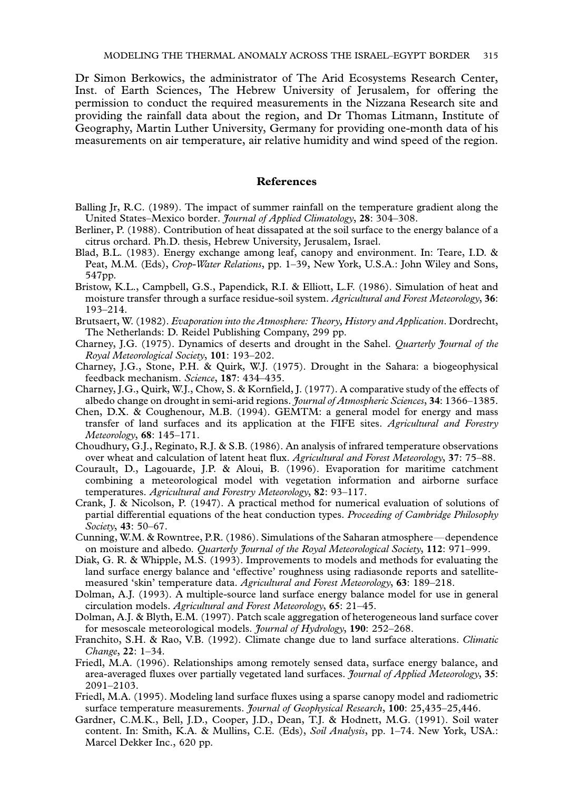Dr Simon Berkowics, the administrator of The Arid Ecosystems Research Center, Inst. of Earth Sciences, The Hebrew University of Jerusalem, for offering the permission to conduct the required measurements in the Nizzana Research site and providing the rainfall data about the region, and Dr Thomas Litmann, Institute of Geography, Martin Luther University, Germany for providing one-month data of his measurements on air temperature, air relative humidity and wind speed of the region.

#### **References**

- Balling Jr, R.C. (1989). The impact of summer rainfall on the temperature gradient along the United States–Mexico border. *Journal of Applied Climatology*, **28**: 304–308.
- Berliner, P. (1988). Contribution of heat dissapated at the soil surface to the energy balance of a citrus orchard. Ph.D. thesis, Hebrew University, Jerusalem, Israel.
- Blad, B.L. (1983). Energy exchange among leaf, canopy and environment. In: Teare, I.D. & Peat, M.M. (Eds), *Crop-Water Relations*, pp. 1–39, New York, U.S.A.: John Wiley and Sons, 547pp.
- Bristow, K.L., Campbell, G.S., Papendick, R.I. & Elliott, L.F. (1986). Simulation of heat and moisture transfer through a surface residue-soil system. *Agricultural and Forest Meteorology*, **36**: 193–214.
- Brutsaert, W. (1982). *Evaporation into the Atmosphere: Theory, History and Application*. Dordrecht, The Netherlands: D. Reidel Publishing Company, 299 pp.
- Charney, J.G. (1975). Dynamics of deserts and drought in the Sahel. *Quarterly Journal of the Royal Meteorological Society*, **101**: 193–202.
- Charney, J.G., Stone, P.H. & Quirk, W.J. (1975). Drought in the Sahara: a biogeophysical feedback mechanism. *Science*, **187**: 434–435.
- Charney, J.G., Quirk, W.J., Chow, S. & Kornfield, J. (1977). A comparative study of the effects of albedo change on drought in semi-arid regions. *Journal of Atmospheric Sciences*, **34**: 1366–1385.
- Chen, D.X. & Coughenour, M.B. (1994). GEMTM: a general model for energy and mass transfer of land surfaces and its application at the FIFE sites. *Agricultural and Forestry Meteorology*, **68**: 145–171.
- Choudhury, G.J., Reginato, R.J. & S.B. (1986). An analysis of infrared temperature observations over wheat and calculation of latent heat flux. *Agricultural and Forest Meteorology*, **37**: 75–88.
- Courault, D., Lagouarde, J.P. & Aloui, B. (1996). Evaporation for maritime catchment combining a meteorological model with vegetation information and airborne surface temperatures. *Agricultural and Forestry Meteorology*, **82**: 93–117.
- Crank, J. & Nicolson, P. (1947). A practical method for numerical evaluation of solutions of partial differential equations of the heat conduction types. *Proceeding of Cambridge Philosophy Society*, **43**: 50–67.
- Cunning, W.M. & Rowntree, P.R.  $(1986)$ . Simulations of the Saharan atmosphere—dependence on moisture and albedo. *Quarterly Journal of the Royal Meteorological Society*, **112**: 971–999.
- Diak, G. R. & Whipple, M.S. (1993). Improvements to models and methods for evaluating the land surface energy balance and 'effective' roughness using radiasonde reports and satellitemeasured 'skin' temperature data. *Agricultural and Forest Meteorology*, **63**: 189–218.
- Dolman, A.J. (1993). A multiple-source land surface energy balance model for use in general circulation models. *Agricultural and Forest Meteorology*, **65**: 21–45.
- Dolman, A.J. & Blyth, E.M. (1997). Patch scale aggregation of heterogeneous land surface cover for mesoscale meteorological models. *Journal of Hydrology*, **190**: 252–268.
- Franchito, S.H. & Rao, V.B. (1992). Climate change due to land surface alterations. *Climatic Change*, **22**: 1–34.
- Friedl, M.A. (1996). Relationships among remotely sensed data, surface energy balance, and area-averaged fluxes over partially vegetated land surfaces. *Journal of Applied Meteorology*, **35**: 2091–2103.
- Friedl, M.A. (1995). Modeling land surface fluxes using a sparse canopy model and radiometric surface temperature measurements. *Journal of Geophysical Research*, **100**: 25,435–25,446.
- Gardner, C.M.K., Bell, J.D., Cooper, J.D., Dean, T.J. & Hodnett, M.G. (1991). Soil water content. In: Smith, K.A. & Mullins, C.E. (Eds), *Soil Analysis*, pp. 1–74. New York, USA.: Marcel Dekker Inc., 620 pp.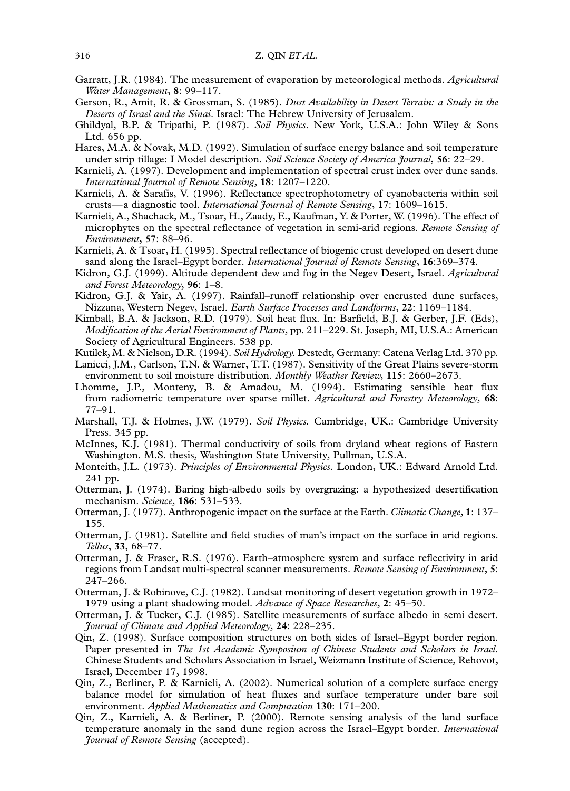- Garratt, J.R. (1984). The measurement of evaporation by meteorological methods. *Agricultural Water Management*, **8**: 99–117.
- Gerson, R., Amit, R. & Grossman, S. (1985). *Dust Availability in Desert Terrain: a Study in the Deserts of Israel and the Sinai*. Israel: The Hebrew University of Jerusalem.
- Ghildyal, B.P. & Tripathi, P. (1987). *Soil Physics*. New York, U.S.A.: John Wiley & Sons Ltd. 656 pp.
- Hares, M.A. & Novak, M.D. (1992). Simulation of surface energy balance and soil temperature under strip tillage: I Model description. *Soil Science Society of America Journal*, **56**: 22–29.
- Karnieli, A. (1997). Development and implementation of spectral crust index over dune sands. *International Journal of Remote Sensing*, **18**: 1207–1220.
- Karnieli, A. & Sarafis, V. (1996). Reflectance spectrophotometry of cyanobacteria within soil crustsFa diagnostic tool. *International Journal of Remote Sensing*, **17**: 1609–1615.
- Karnieli, A., Shachack, M., Tsoar, H., Zaady, E., Kaufman, Y. & Porter, W. (1996). The effect of microphytes on the spectral reflectance of vegetation in semi-arid regions. *Remote Sensing of Environment*, **57**: 88–96.
- Karnieli, A. & Tsoar, H. (1995). Spectral reflectance of biogenic crust developed on desert dune sand along the Israel–Egypt border. *International Journal of Remote Sensing*, **16**:369–374.
- Kidron, G.J. (1999). Altitude dependent dew and fog in the Negev Desert, Israel. *Agricultural and Forest Meteorology*, **96**: 1–8.
- Kidron, G.J. & Yair, A. (1997). Rainfall–runoff relationship over encrusted dune surfaces, Nizzana, Western Negev, Israel. *Earth Surface Processes and Landforms*, **22**: 1169–1184.
- Kimball, B.A. & Jackson, R.D. (1979). Soil heat flux. In: Barfield, B.J. & Gerber, J.F. (Eds), *Modification of the Aerial Environment of Plants*, pp. 211–229. St. Joseph, MI, U.S.A.: American Society of Agricultural Engineers. 538 pp.
- Kutilek, M. & Nielson, D.R. (1994). *Soil Hydrology*. Destedt, Germany: Catena Verlag Ltd. 370 pp.
- Lanicci, J.M., Carlson, T.N. & Warner, T.T. (1987). Sensitivity of the Great Plains severe-storm environment to soil moisture distribution. *Monthly Weather Review*, **115**: 2660–2673.
- Lhomme, J.P., Monteny, B. & Amadou, M. (1994). Estimating sensible heat flux from radiometric temperature over sparse millet. *Agricultural and Forestry Meteorology*, **68**: 77–91.
- Marshall, T.J. & Holmes, J.W. (1979). *Soil Physics.* Cambridge, UK.: Cambridge University Press. 345 pp.
- McInnes, K.J. (1981). Thermal conductivity of soils from dryland wheat regions of Eastern Washington. M.S. thesis, Washington State University, Pullman, U.S.A.
- Monteith, J.L. (1973). *Principles of Environmental Physics.* London, UK.: Edward Arnold Ltd. 241 pp.
- Otterman, J. (1974). Baring high-albedo soils by overgrazing: a hypothesized desertification mechanism. *Science*, **186**: 531–533.
- Otterman, J. (1977). Anthropogenic impact on the surface at the Earth. *Climatic Change*, **1**: 137– 155.
- Otterman, J. (1981). Satellite and field studies of man's impact on the surface in arid regions. *Tellus*, **33**, 68–77.
- Otterman, J. & Fraser, R.S. (1976). Earth–atmosphere system and surface reflectivity in arid regions from Landsat multi-spectral scanner measurements. *Remote Sensing of Environment*, **5**: 247–266.
- Otterman, J. & Robinove, C.J. (1982). Landsat monitoring of desert vegetation growth in 1972– 1979 using a plant shadowing model. *Advance of Space Researches*, **2**: 45–50.
- Otterman, J. & Tucker, C.J. (1985). Satellite measurements of surface albedo in semi desert. *Journal of Climate and Applied Meteorology*, **24**: 228–235.
- Qin, Z. (1998). Surface composition structures on both sides of Israel–Egypt border region. Paper presented in *The 1st Academic Symposium of Chinese Students and Scholars in Israel*. Chinese Students and Scholars Association in Israel, Weizmann Institute of Science, Rehovot, Israel, December 17, 1998.
- Qin, Z., Berliner, P. & Karnieli, A. (2002). Numerical solution of a complete surface energy balance model for simulation of heat fluxes and surface temperature under bare soil environment. *Applied Mathematics and Computation* **130**: 171–200.
- Qin, Z., Karnieli, A. & Berliner, P. (2000). Remote sensing analysis of the land surface temperature anomaly in the sand dune region across the Israel–Egypt border. *International Journal of Remote Sensing* (accepted).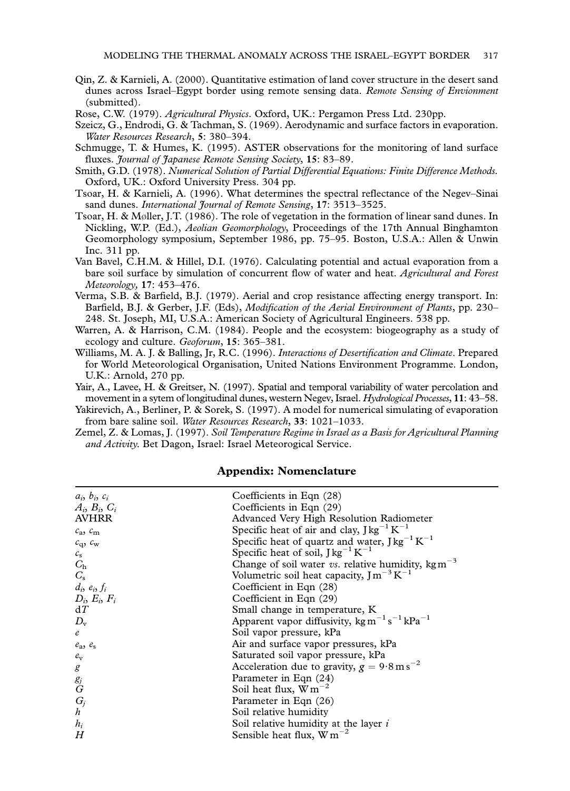- Qin, Z. & Karnieli, A. (2000). Quantitative estimation of land cover structure in the desert sand dunes across Israel–Egypt border using remote sensing data. *Remote Sensing of Envionment* (submitted).
- Rose, C.W. (1979). *Agricultural Physics*. Oxford, UK.: Pergamon Press Ltd. 230pp.
- Szeicz, G., Endrodi, G. & Tachman, S. (1969). Aerodynamic and surface factors in evaporation. *Water Resources Research*, **5**: 380–394.
- Schmugge, T. & Humes, K. (1995). ASTER observations for the monitoring of land surface fluxes. *Journal of Japanese Remote Sensing Society*, **15**: 83–89.
- Smith, G.D. (1978). *Numerical Solution of Partial Differential Equations: Finite Difference Methods.* Oxford, UK.: Oxford University Press. 304 pp.
- Tsoar, H. & Karnieli, A. (1996). What determines the spectral reflectance of the Negev–Sinai sand dunes. *International Journal of Remote Sensing*, **17**: 3513–3525.
- Tsoar, H. & Møller, J.T. (1986). The role of vegetation in the formation of linear sand dunes. In Nickling, W.P. (Ed.), *Aeolian Geomorphology*, Proceedings of the 17th Annual Binghamton Geomorphology symposium, September 1986, pp. 75–95. Boston, U.S.A.: Allen & Unwin Inc. 311 pp.
- Van Bavel, C.H.M. & Hillel, D.I. (1976). Calculating potential and actual evaporation from a bare soil surface by simulation of concurrent flow of water and heat. *Agricultural and Forest Meteorology,* **17**: 453–476.
- Verma, S.B. & Barfield, B.J. (1979). Aerial and crop resistance affecting energy transport. In: Barfield, B.J. & Gerber, J.F. (Eds), *Modification of the Aerial Environment of Plants*, pp. 230– 248. St. Joseph, MI, U.S.A.: American Society of Agricultural Engineers. 538 pp.
- Warren, A. & Harrison, C.M. (1984). People and the ecosystem: biogeography as a study of ecology and culture. *Geoforum*, **15**: 365–381.
- Williams, M. A. J. & Balling, Jr, R.C. (1996). *Interactions of Desertification and Climate*. Prepared for World Meteorological Organisation, United Nations Environment Programme. London, U.K.: Arnold, 270 pp.
- Yair, A., Lavee, H. & Greitser, N. (1997). Spatial and temporal variability of water percolation and movement in a sytem of longitudinal dunes, western Negev, Israel. *Hydrological Processes*, **11**: 43–58.
- Yakirevich, A., Berliner, P. & Sorek, S. (1997). A model for numerical simulating of evaporation from bare saline soil. *Water Resources Research*, **33**: 1021–1033.
- Zemel, Z. & Lomas, J. (1997). *Soil Temperature Regime in Israel as a Basis for Agricultural Planning and Activity*. Bet Dagon, Israel: Israel Meteorogical Service.

| $a_i$ , $b_i$ , $c_i$             | Coefficients in Eqn (28)                                                         |
|-----------------------------------|----------------------------------------------------------------------------------|
| $A_i, B_i, C_i$                   | Coefficients in Eqn (29)                                                         |
| <b>AVHRR</b>                      | Advanced Very High Resolution Radiometer                                         |
| $c_{\rm a}, c_{\rm m}$            | Specific heat of air and clay, $Jkg^{-1}K^{-1}$                                  |
| $c_{\rm q}$ , $c_{\rm w}$         | Specific heat of quartz and water, $Jkg^{-1}K^{-1}$                              |
|                                   | Specific heat of soil, $Jkg^{-1}K^{-1}$                                          |
| $\stackrel{c_{\rm s}}{C_{\rm h}}$ | Change of soil water vs. relative humidity, kg m <sup><math>-3</math></sup>      |
| $C_{\rm s}$                       | Volumetric soil heat capacity, $\text{J} \text{m}^{-3} \text{K}^{-1}$            |
| $d_i$ , $e_i$ , $f_i$             | Coefficient in Eqn (28)                                                          |
| $D_i, E_i, F_i$                   | Coefficient in Eqn (29)                                                          |
| dT                                | Small change in temperature, K                                                   |
| $D_{\rm v}$                       | Apparent vapor diffusivity, kg m <sup>-1</sup> s <sup>-1</sup> kPa <sup>-1</sup> |
| e                                 | Soil vapor pressure, kPa                                                         |
| $e_a, e_s$                        | Air and surface vapor pressures, kPa                                             |
| $e_{\rm v}$                       | Saturated soil vapor pressure, kPa                                               |
| g                                 | Acceleration due to gravity, $g = 9.8 \text{ m s}^{-2}$                          |
| $g_j$                             | Parameter in Eqn (24)                                                            |
| $\cal G$                          | Soil heat flux, $W m^{-2}$                                                       |
| $G_i$                             | Parameter in Eqn (26)                                                            |
| $\boldsymbol{h}$                  | Soil relative humidity                                                           |
| $h_i$                             | Soil relative humidity at the layer i                                            |
| H                                 | Sensible heat flux, $W m^{-2}$                                                   |

#### **Appendix: Nomenclature**